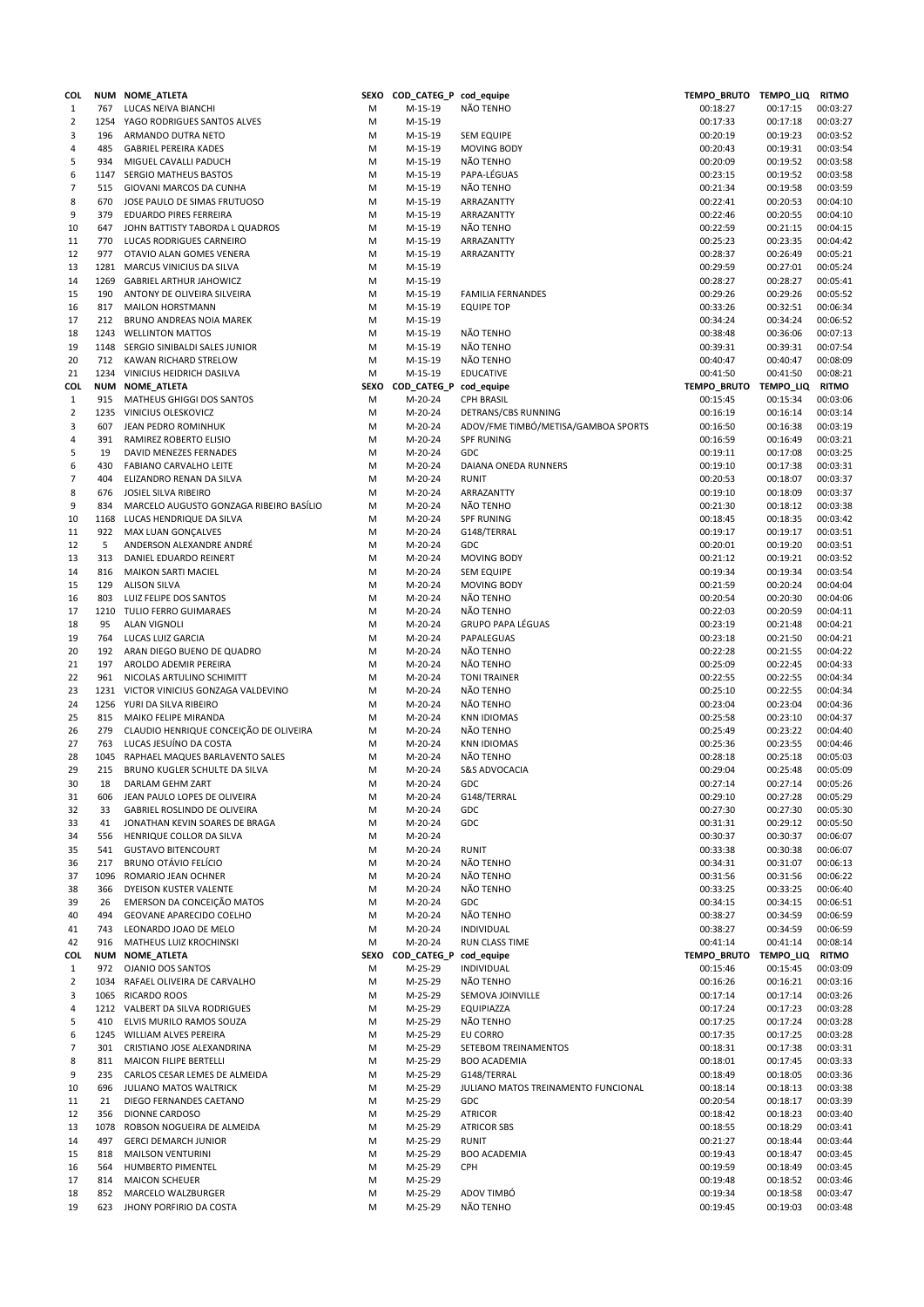| COL            |      | NUM NOME_ATLETA                         |      | SEXO COD_CATEG_P cod_equipe |                                     | TEMPO_BRUTO TEMPO_LIQ RITMO |          |              |
|----------------|------|-----------------------------------------|------|-----------------------------|-------------------------------------|-----------------------------|----------|--------------|
| $\mathbf{1}$   | 767  | LUCAS NEIVA BIANCHI                     | M    | M-15-19                     | NÃO TENHO                           | 00:18:27                    | 00:17:15 | 00:03:27     |
| $\overline{2}$ |      | 1254 YAGO RODRIGUES SANTOS ALVES        | M    | M-15-19                     |                                     | 00:17:33                    | 00:17:18 | 00:03:27     |
| 3              | 196  | ARMANDO DUTRA NETO                      | M    | M-15-19                     | <b>SEM EQUIPE</b>                   | 00:20:19                    | 00:19:23 | 00:03:52     |
| 4              | 485  | <b>GABRIEL PEREIRA KADES</b>            | M    | M-15-19                     | MOVING BODY                         | 00:20:43                    | 00:19:31 | 00:03:54     |
|                | 934  |                                         |      |                             | NÃO TENHO                           |                             |          |              |
| 5              |      | MIGUEL CAVALLI PADUCH                   | M    | M-15-19                     |                                     | 00:20:09                    | 00:19:52 | 00:03:58     |
| 6              |      | 1147 SERGIO MATHEUS BASTOS              | M    | M-15-19                     | PAPA-LÉGUAS                         | 00:23:15                    | 00:19:52 | 00:03:58     |
| 7              | 515  | GIOVANI MARCOS DA CUNHA                 | M    | M-15-19                     | NÃO TENHO                           | 00:21:34                    | 00:19:58 | 00:03:59     |
| 8              | 670  | JOSE PAULO DE SIMAS FRUTUOSO            | M    | M-15-19                     | ARRAZANTTY                          | 00:22:41                    | 00:20:53 | 00:04:10     |
| 9              | 379  | EDUARDO PIRES FERREIRA                  | M    | M-15-19                     | ARRAZANTTY                          | 00:22:46                    | 00:20:55 | 00:04:10     |
| 10             | 647  | JOHN BATTISTY TABORDA L QUADROS         | M    | M-15-19                     | NÃO TENHO                           | 00:22:59                    | 00:21:15 | 00:04:15     |
| 11             | 770  | LUCAS RODRIGUES CARNEIRO                | M    | M-15-19                     | ARRAZANTTY                          | 00:25:23                    | 00:23:35 | 00:04:42     |
| 12             | 977  | OTAVIO ALAN GOMES VENERA                | M    | M-15-19                     | ARRAZANTTY                          | 00:28:37                    | 00:26:49 | 00:05:21     |
| 13             | 1281 | MARCUS VINICIUS DA SILVA                | M    | M-15-19                     |                                     | 00:29:59                    | 00:27:01 | 00:05:24     |
|                |      |                                         |      |                             |                                     |                             |          |              |
| 14             | 1269 | <b>GABRIEL ARTHUR JAHOWICZ</b>          | M    | M-15-19                     |                                     | 00:28:27                    | 00:28:27 | 00:05:41     |
| 15             | 190  | ANTONY DE OLIVEIRA SILVEIRA             | M    | M-15-19                     | <b>FAMILIA FERNANDES</b>            | 00:29:26                    | 00:29:26 | 00:05:52     |
| 16             | 817  | <b>MAILON HORSTMANN</b>                 | M    | M-15-19                     | <b>EQUIPE TOP</b>                   | 00:33:26                    | 00:32:51 | 00:06:34     |
| 17             | 212  | BRUNO ANDREAS NOIA MAREK                | M    | M-15-19                     |                                     | 00:34:24                    | 00:34:24 | 00:06:52     |
| 18             |      | 1243 WELLINTON MATTOS                   | M    | M-15-19                     | NÃO TENHO                           | 00:38:48                    | 00:36:06 | 00:07:13     |
| 19             |      | 1148 SERGIO SINIBALDI SALES JUNIOR      | M    | M-15-19                     | NÃO TENHO                           | 00:39:31                    | 00:39:31 | 00:07:54     |
| 20             | 712  | KAWAN RICHARD STRELOW                   | M    | M-15-19                     | NÃO TENHO                           | 00:40:47                    | 00:40:47 | 00:08:09     |
|                |      |                                         |      |                             |                                     |                             |          |              |
| 21             |      | 1234 VINICIUS HEIDRICH DASILVA          | M    | M-15-19                     | <b>EDUCATIVE</b>                    | 00:41:50                    | 00:41:50 | 00:08:21     |
| COL            |      | NUM NOME_ATLETA                         |      | SEXO COD_CATEG_P cod_equipe |                                     | TEMPO_BRUTO TEMPO_LIQ       |          | <b>RITMO</b> |
| $\mathbf{1}$   | 915  | MATHEUS GHIGGI DOS SANTOS               | M    | M-20-24                     | <b>CPH BRASIL</b>                   | 00:15:45                    | 00:15:34 | 00:03:06     |
| 2              |      | 1235 VINICIUS OLESKOVICZ                | M    | M-20-24                     | DETRANS/CBS RUNNING                 | 00:16:19                    | 00:16:14 | 00:03:14     |
| 3              | 607  | JEAN PEDRO ROMINHUK                     | M    | M-20-24                     | ADOV/FME TIMBÓ/METISA/GAMBOA SPORTS | 00:16:50                    | 00:16:38 | 00:03:19     |
| 4              | 391  | RAMIREZ ROBERTO ELISIO                  | M    | M-20-24                     | <b>SPF RUNING</b>                   | 00:16:59                    | 00:16:49 | 00:03:21     |
| 5              | 19   | DAVID MENEZES FERNADES                  |      | M-20-24                     | GDC                                 |                             | 00:17:08 | 00:03:25     |
|                |      |                                         | M    |                             |                                     | 00:19:11                    |          |              |
| 6              | 430  | <b>FABIANO CARVALHO LEITE</b>           | M    | M-20-24                     | DAIANA ONEDA RUNNERS                | 00:19:10                    | 00:17:38 | 00:03:31     |
| 7              | 404  | ELIZANDRO RENAN DA SILVA                | M    | M-20-24                     | <b>RUNIT</b>                        | 00:20:53                    | 00:18:07 | 00:03:37     |
| 8              | 676  | JOSIEL SILVA RIBEIRO                    | M    | M-20-24                     | ARRAZANTTY                          | 00:19:10                    | 00:18:09 | 00:03:37     |
| 9              | 834  | MARCELO AUGUSTO GONZAGA RIBEIRO BASÍLIO | M    | M-20-24                     | NÃO TENHO                           | 00:21:30                    | 00:18:12 | 00:03:38     |
| 10             |      | 1168 LUCAS HENDRIQUE DA SILVA           | M    | M-20-24                     | <b>SPF RUNING</b>                   | 00:18:45                    | 00:18:35 | 00:03:42     |
| 11             | 922  | MAX LUAN GONÇALVES                      | M    | M-20-24                     | G148/TERRAL                         | 00:19:17                    | 00:19:17 | 00:03:51     |
|                | 5    |                                         |      |                             |                                     |                             |          |              |
| 12             |      | ANDERSON ALEXANDRE ANDRÉ                | M    | M-20-24                     | <b>GDC</b>                          | 00:20:01                    | 00:19:20 | 00:03:51     |
| 13             | 313  | DANIEL EDUARDO REINERT                  | M    | M-20-24                     | MOVING BODY                         | 00:21:12                    | 00:19:21 | 00:03:52     |
| 14             | 816  | MAIKON SARTI MACIEL                     | M    | M-20-24                     | <b>SEM EQUIPE</b>                   | 00:19:34                    | 00:19:34 | 00:03:54     |
| 15             | 129  | <b>ALISON SILVA</b>                     | M    | M-20-24                     | MOVING BODY                         | 00:21:59                    | 00:20:24 | 00:04:04     |
| 16             | 803  | LUIZ FELIPE DOS SANTOS                  | M    | M-20-24                     | NÃO TENHO                           | 00:20:54                    | 00:20:30 | 00:04:06     |
| 17             |      | 1210 TULIO FERRO GUIMARAES              | M    | M-20-24                     | NÃO TENHO                           | 00:22:03                    | 00:20:59 | 00:04:11     |
| 18             | 95   | <b>ALAN VIGNOLI</b>                     | M    | M-20-24                     | GRUPO PAPA LÉGUAS                   | 00:23:19                    | 00:21:48 | 00:04:21     |
|                | 764  |                                         | M    | M-20-24                     |                                     | 00:23:18                    | 00:21:50 |              |
| 19             |      | LUCAS LUIZ GARCIA                       |      |                             | PAPALEGUAS                          |                             |          | 00:04:21     |
| 20             | 192  | ARAN DIEGO BUENO DE QUADRO              | M    | M-20-24                     | NÃO TENHO                           | 00:22:28                    | 00:21:55 | 00:04:22     |
| 21             | 197  | AROLDO ADEMIR PEREIRA                   | M    | M-20-24                     | NÃO TENHO                           | 00:25:09                    | 00:22:45 | 00:04:33     |
| 22             | 961  | NICOLAS ARTULINO SCHIMITT               | M    | M-20-24                     | <b>TONI TRAINER</b>                 | 00:22:55                    | 00:22:55 | 00:04:34     |
| 23             |      | 1231 VICTOR VINICIUS GONZAGA VALDEVINO  | M    | M-20-24                     | NÃO TENHO                           | 00:25:10                    | 00:22:55 | 00:04:34     |
| 24             |      | 1256 YURI DA SILVA RIBEIRO              | M    | M-20-24                     | NÃO TENHO                           | 00:23:04                    | 00:23:04 | 00:04:36     |
| 25             | 815  | MAIKO FELIPE MIRANDA                    | M    | M-20-24                     | <b>KNN IDIOMAS</b>                  | 00:25:58                    | 00:23:10 | 00:04:37     |
|                |      | CLAUDIO HENRIQUE CONCEIÇÃO DE OLIVEIRA  |      |                             |                                     |                             |          |              |
| 26             | 279  |                                         | M    | M-20-24                     | NÃO TENHO                           | 00:25:49                    | 00:23:22 | 00:04:40     |
| 27             | 763  | LUCAS JESUÍNO DA COSTA                  | M    | M-20-24                     | <b>KNN IDIOMAS</b>                  | 00:25:36                    | 00:23:55 | 00:04:46     |
| 28             | 1045 | RAPHAEL MAQUES BARLAVENTO SALES         | M    | M-20-24                     | NÃO TENHO                           | 00:28:18                    | 00:25:18 | 00:05:03     |
| 29             | 215  | BRUNO KUGLER SCHULTE DA SILVA           | M    | M-20-24                     | <b>S&amp;S ADVOCACIA</b>            | 00:29:04                    | 00:25:48 | 00:05:09     |
| 30             | 18   | DARLAM GEHM ZART                        | M    | M-20-24                     | GDC                                 | 00:27:14                    | 00:27:14 | 00:05:26     |
| 31             | 606  | JEAN PAULO LOPES DE OLIVEIRA            | М    | M-20-24                     | G148/TERRAL                         | 00:29:10                    | 00:27:28 | 00:05:29     |
| 32             | 33   | GABRIEL ROSLINDO DE OLIVEIRA            | M    | M-20-24                     | GDC                                 | 00:27:30                    | 00:27:30 | 00:05:30     |
|                |      |                                         |      |                             |                                     |                             |          |              |
| 33             | 41   | JONATHAN KEVIN SOARES DE BRAGA          | M    | M-20-24                     | GDC                                 | 00:31:31                    | 00:29:12 | 00:05:50     |
| 34             | 556  | HENRIQUE COLLOR DA SILVA                | M    | M-20-24                     |                                     | 00:30:37                    | 00:30:37 | 00:06:07     |
| 35             | 541  | <b>GUSTAVO BITENCOURT</b>               | M    | M-20-24                     | <b>RUNIT</b>                        | 00:33:38                    | 00:30:38 | 00:06:07     |
| 36             | 217  | <b>BRUNO OTÁVIO FELÍCIO</b>             | M    | M-20-24                     | NÃO TENHO                           | 00:34:31                    | 00:31:07 | 00:06:13     |
| 37             | 1096 | ROMARIO JEAN OCHNER                     | M    | M-20-24                     | NÃO TENHO                           | 00:31:56                    | 00:31:56 | 00:06:22     |
| 38             | 366  | DYEISON KUSTER VALENTE                  | M    | M-20-24                     | NÃO TENHO                           | 00:33:25                    | 00:33:25 | 00:06:40     |
| 39             | 26   | EMERSON DA CONCEIÇÃO MATOS              | M    | M-20-24                     | GDC                                 | 00:34:15                    | 00:34:15 | 00:06:51     |
| 40             | 494  | GEOVANE APARECIDO COELHO                | M    | M-20-24                     | NÃO TENHO                           | 00:38:27                    | 00:34:59 | 00:06:59     |
|                |      |                                         |      |                             |                                     |                             |          | 00:06:59     |
| 41             | 743  | LEONARDO JOAO DE MELO                   | М    | M-20-24                     | <b>INDIVIDUAL</b>                   | 00:38:27                    | 00:34:59 |              |
| 42             | 916  | MATHEUS LUIZ KROCHINSKI                 | M    | M-20-24                     | RUN CLASS TIME                      | 00:41:14                    | 00:41:14 | 00:08:14     |
| COL            | NUM  | NOME_ATLETA                             | SEXO | COD_CATEG_P                 | cod_equipe                          | TEMPO_BRUTO TEMPO_LIQ       |          | <b>RITMO</b> |
| $\mathbf{1}$   | 972  | <b>OJANIO DOS SANTOS</b>                | М    | M-25-29                     | INDIVIDUAL                          | 00:15:46                    | 00:15:45 | 00:03:09     |
| 2              | 1034 | RAFAEL OLIVEIRA DE CARVALHO             | М    | M-25-29                     | NÃO TENHO                           | 00:16:26                    | 00:16:21 | 00:03:16     |
| 3              |      | 1065 RICARDO ROOS                       | М    | M-25-29                     | SEMOVA JOINVILLE                    | 00:17:14                    | 00:17:14 | 00:03:26     |
| 4              |      | 1212 VALBERT DA SILVA RODRIGUES         | М    | M-25-29                     | EQUIPIAZZA                          | 00:17:24                    | 00:17:23 | 00:03:28     |
| 5              | 410  | ELVIS MURILO RAMOS SOUZA                | М    | M-25-29                     | NÃO TENHO                           | 00:17:25                    | 00:17:24 | 00:03:28     |
|                |      |                                         |      |                             |                                     |                             |          |              |
| 6              |      | 1245 WILLIAM ALVES PEREIRA              | М    | M-25-29                     | EU CORRO                            | 00:17:35                    | 00:17:25 | 00:03:28     |
| 7              | 301  | CRISTIANO JOSE ALEXANDRINA              | M    | M-25-29                     | SETEBOM TREINAMENTOS                | 00:18:31                    | 00:17:38 | 00:03:31     |
| 8              | 811  | <b>MAICON FILIPE BERTELLI</b>           | М    | M-25-29                     | <b>BOO ACADEMIA</b>                 | 00:18:01                    | 00:17:45 | 00:03:33     |
| 9              | 235  | CARLOS CESAR LEMES DE ALMEIDA           | M    | M-25-29                     | G148/TERRAL                         | 00:18:49                    | 00:18:05 | 00:03:36     |
| 10             | 696  | <b>JULIANO MATOS WALTRICK</b>           | М    | M-25-29                     | JULIANO MATOS TREINAMENTO FUNCIONAL | 00:18:14                    | 00:18:13 | 00:03:38     |
| 11             | 21   | DIEGO FERNANDES CAETANO                 | M    | M-25-29                     | GDC                                 | 00:20:54                    | 00:18:17 | 00:03:39     |
| 12             | 356  | DIONNE CARDOSO                          | M    | M-25-29                     | <b>ATRICOR</b>                      | 00:18:42                    | 00:18:23 | 00:03:40     |
|                |      |                                         |      |                             |                                     |                             |          |              |
| 13             | 1078 | ROBSON NOGUEIRA DE ALMEIDA              | M    | M-25-29                     | <b>ATRICOR SBS</b>                  | 00:18:55                    | 00:18:29 | 00:03:41     |
| 14             | 497  | <b>GERCI DEMARCH JUNIOR</b>             | M    | M-25-29                     | <b>RUNIT</b>                        | 00:21:27                    | 00:18:44 | 00:03:44     |
| 15             | 818  | <b>MAILSON VENTURINI</b>                | M    | M-25-29                     | <b>BOO ACADEMIA</b>                 | 00:19:43                    | 00:18:47 | 00:03:45     |
| 16             | 564  | HUMBERTO PIMENTEL                       | M    | M-25-29                     | <b>CPH</b>                          | 00:19:59                    | 00:18:49 | 00:03:45     |
| 17             | 814  | <b>MAICON SCHEUER</b>                   | М    | M-25-29                     |                                     | 00:19:48                    | 00:18:52 | 00:03:46     |
| 18             | 852  | MARCELO WALZBURGER                      | M    | M-25-29                     | ADOV TIMBÓ                          | 00:19:34                    | 00:18:58 | 00:03:47     |
| 19             | 623  | JHONY PORFIRIO DA COSTA                 | M    | M-25-29                     | NÃO TENHO                           | 00:19:45                    | 00:19:03 | 00:03:48     |
|                |      |                                         |      |                             |                                     |                             |          |              |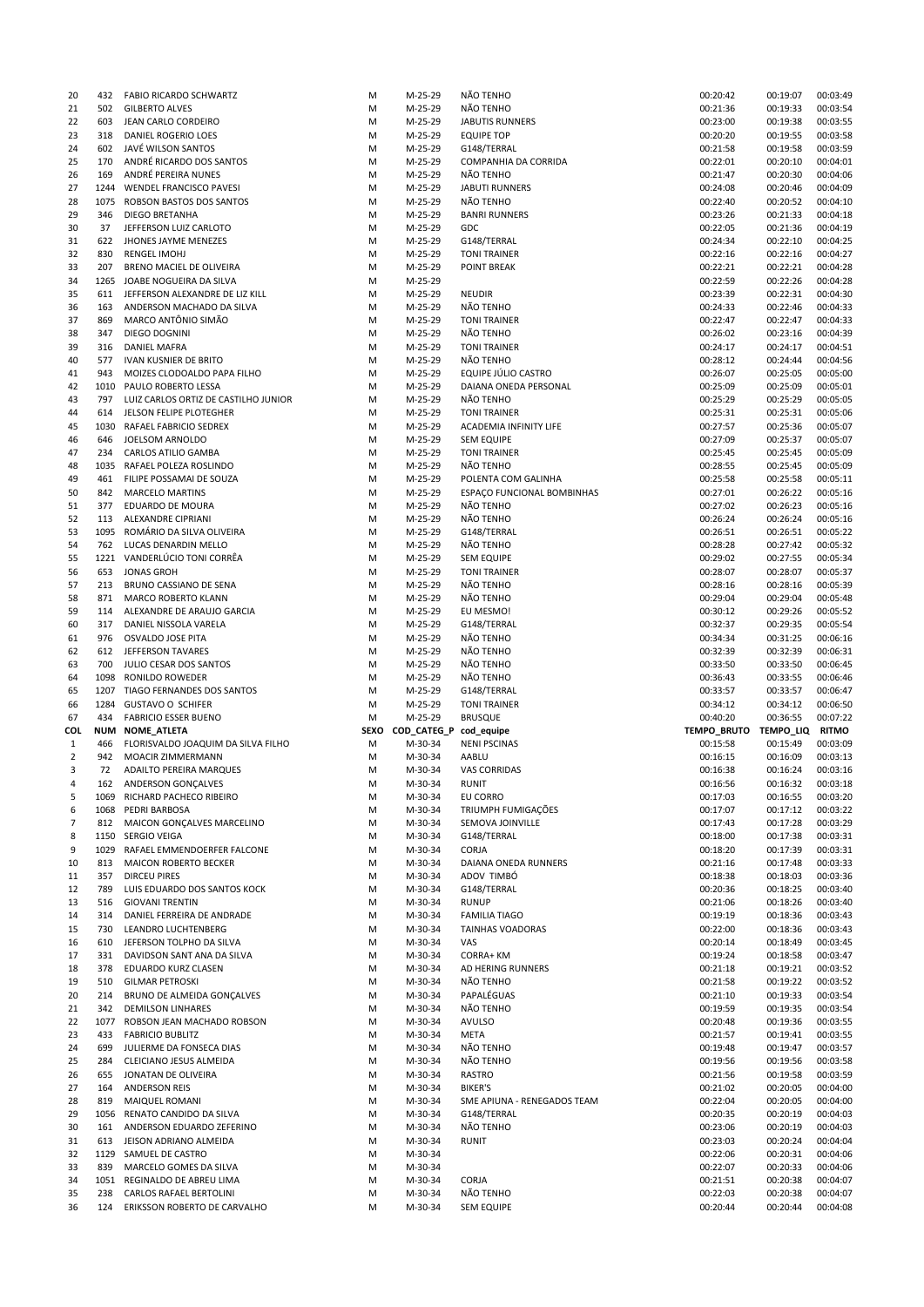| 20             | 432        | FABIO RICARDO SCHWARTZ               | M           | M-25-29                | NÃO TENHO                   | 00:20:42              | 00:19:07 | 00:03:49     |
|----------------|------------|--------------------------------------|-------------|------------------------|-----------------------------|-----------------------|----------|--------------|
| 21             | 502        | <b>GILBERTO ALVES</b>                | M           | M-25-29                | NÃO TENHO                   | 00:21:36              | 00:19:33 | 00:03:54     |
| 22             | 603        | JEAN CARLO CORDEIRO                  | M           | M-25-29                | <b>JABUTIS RUNNERS</b>      | 00:23:00              | 00:19:38 | 00:03:55     |
| 23             | 318        | DANIEL ROGERIO LOES                  | M           | M-25-29                | <b>EQUIPE TOP</b>           | 00:20:20              | 00:19:55 | 00:03:58     |
| 24             | 602        | JAVÉ WILSON SANTOS                   | M           | M-25-29                | G148/TERRAL                 | 00:21:58              | 00:19:58 | 00:03:59     |
| 25             | 170        | ANDRÉ RICARDO DOS SANTOS             | M           | M-25-29                | COMPANHIA DA CORRIDA        | 00:22:01              | 00:20:10 | 00:04:01     |
| 26             | 169        | ANDRÉ PEREIRA NUNES                  | M           | M-25-29                | NÃO TENHO                   | 00:21:47              | 00:20:30 | 00:04:06     |
| 27             | 1244       | <b>WENDEL FRANCISCO PAVESI</b>       | M           | M-25-29                | <b>JABUTI RUNNERS</b>       | 00:24:08              | 00:20:46 | 00:04:09     |
|                |            |                                      |             |                        |                             |                       |          |              |
| 28             | 1075       | ROBSON BASTOS DOS SANTOS             | M           | M-25-29                | NÃO TENHO                   | 00:22:40              | 00:20:52 | 00:04:10     |
| 29             | 346        | DIEGO BRETANHA                       | M           | M-25-29                | <b>BANRI RUNNERS</b>        | 00:23:26              | 00:21:33 | 00:04:18     |
| 30             | 37         | JEFFERSON LUIZ CARLOTO               | M           | M-25-29                | GDC                         | 00:22:05              | 00:21:36 | 00:04:19     |
| 31             | 622        | JHONES JAYME MENEZES                 | M           | M-25-29                | G148/TERRAL                 | 00:24:34              | 00:22:10 | 00:04:25     |
| 32             | 830        | <b>RENGEL IMOHJ</b>                  | M           | M-25-29                | <b>TONI TRAINER</b>         | 00:22:16              | 00:22:16 | 00:04:27     |
| 33             | 207        | BRENO MACIEL DE OLIVEIRA             | M           | M-25-29                | POINT BREAK                 | 00:22:21              | 00:22:21 | 00:04:28     |
| 34             | 1265       | JOABE NOGUEIRA DA SILVA              | M           | M-25-29                |                             | 00:22:59              | 00:22:26 | 00:04:28     |
| 35             | 611        | JEFFERSON ALEXANDRE DE LIZ KILL      | M           | M-25-29                | <b>NEUDIR</b>               | 00:23:39              | 00:22:31 | 00:04:30     |
|                |            |                                      |             |                        |                             |                       | 00:22:46 |              |
| 36             | 163        | ANDERSON MACHADO DA SILVA            | M           | M-25-29                | NÃO TENHO                   | 00:24:33              |          | 00:04:33     |
| 37             | 869        | MARCO ANTÔNIO SIMÃO                  | M           | M-25-29                | <b>TONI TRAINER</b>         | 00:22:47              | 00:22:47 | 00:04:33     |
| 38             | 347        | DIEGO DOGNINI                        | M           | M-25-29                | NÃO TENHO                   | 00:26:02              | 00:23:16 | 00:04:39     |
| 39             | 316        | <b>DANIEL MAFRA</b>                  | M           | M-25-29                | <b>TONI TRAINER</b>         | 00:24:17              | 00:24:17 | 00:04:51     |
| 40             | 577        | <b>IVAN KUSNIER DE BRITO</b>         | M           | M-25-29                | NÃO TENHO                   | 00:28:12              | 00:24:44 | 00:04:56     |
| 41             | 943        | MOIZES CLODOALDO PAPA FILHO          | M           | M-25-29                | EQUIPE JÚLIO CASTRO         | 00:26:07              | 00:25:05 | 00:05:00     |
| 42             | 1010       | PAULO ROBERTO LESSA                  | M           | M-25-29                | DAIANA ONEDA PERSONAL       | 00:25:09              | 00:25:09 | 00:05:01     |
| 43             | 797        | LUIZ CARLOS ORTIZ DE CASTILHO JUNIOR | M           | M-25-29                | NÃO TENHO                   | 00:25:29              | 00:25:29 | 00:05:05     |
| 44             | 614        | JELSON FELIPE PLOTEGHER              | M           | M-25-29                | <b>TONI TRAINER</b>         | 00:25:31              | 00:25:31 | 00:05:06     |
|                |            |                                      |             | M-25-29                |                             |                       |          | 00:05:07     |
| 45             | 1030       | RAFAEL FABRICIO SEDREX               | M           |                        | ACADEMIA INFINITY LIFE      | 00:27:57              | 00:25:36 |              |
| 46             | 646        | JOELSOM ARNOLDO                      | M           | M-25-29                | <b>SEM EQUIPE</b>           | 00:27:09              | 00:25:37 | 00:05:07     |
| 47             | 234        | <b>CARLOS ATILIO GAMBA</b>           | M           | M-25-29                | <b>TONI TRAINER</b>         | 00:25:45              | 00:25:45 | 00:05:09     |
| 48             | 1035       | RAFAEL POLEZA ROSLINDO               | M           | M-25-29                | NÃO TENHO                   | 00:28:55              | 00:25:45 | 00:05:09     |
| 49             | 461        | FILIPE POSSAMAI DE SOUZA             | M           | M-25-29                | POLENTA COM GALINHA         | 00:25:58              | 00:25:58 | 00:05:11     |
| 50             | 842        | <b>MARCELO MARTINS</b>               | M           | M-25-29                | ESPAÇO FUNCIONAL BOMBINHAS  | 00:27:01              | 00:26:22 | 00:05:16     |
| 51             | 377        | EDUARDO DE MOURA                     | M           | M-25-29                | NÃO TENHO                   | 00:27:02              | 00:26:23 | 00:05:16     |
| 52             | 113        | ALEXANDRE CIPRIANI                   | M           | M-25-29                | NÃO TENHO                   | 00:26:24              | 00:26:24 | 00:05:16     |
|                |            |                                      |             |                        |                             |                       |          |              |
| 53             | 1095       | ROMÁRIO DA SILVA OLIVEIRA            | M           | M-25-29                | G148/TERRAL                 | 00:26:51              | 00:26:51 | 00:05:22     |
| 54             | 762        | LUCAS DENARDIN MELLO                 | M           | M-25-29                | NÃO TENHO                   | 00:28:28              | 00:27:42 | 00:05:32     |
| 55             |            | 1221 VANDERLÚCIO TONI CORRÊA         | M           | M-25-29                | <b>SEM EQUIPE</b>           | 00:29:02              | 00:27:55 | 00:05:34     |
| 56             | 653        | <b>JONAS GROH</b>                    | M           | M-25-29                | <b>TONI TRAINER</b>         | 00:28:07              | 00:28:07 | 00:05:37     |
| 57             | 213        | BRUNO CASSIANO DE SENA               | M           | M-25-29                | NÃO TENHO                   | 00:28:16              | 00:28:16 | 00:05:39     |
| 58             | 871        | MARCO ROBERTO KLANN                  | M           | M-25-29                | NÃO TENHO                   | 00:29:04              | 00:29:04 | 00:05:48     |
| 59             | 114        | ALEXANDRE DE ARAUJO GARCIA           | M           | M-25-29                | EU MESMO!                   | 00:30:12              | 00:29:26 | 00:05:52     |
| 60             | 317        | DANIEL NISSOLA VARELA                | M           | M-25-29                | G148/TERRAL                 | 00:32:37              | 00:29:35 | 00:05:54     |
|                | 976        |                                      |             |                        |                             |                       |          |              |
| 61             |            | <b>OSVALDO JOSE PITA</b>             | M           | M-25-29                | NÃO TENHO                   | 00:34:34              | 00:31:25 | 00:06:16     |
| 62             | 612        | JEFFERSON TAVARES                    | M           | M-25-29                | NÃO TENHO                   | 00:32:39              | 00:32:39 | 00:06:31     |
|                |            |                                      |             |                        |                             |                       |          |              |
| 63             | 700        | JULIO CESAR DOS SANTOS               | M           | M-25-29                | NÃO TENHO                   | 00:33:50              | 00:33:50 | 00:06:45     |
| 64             | 1098       | <b>RONILDO ROWEDER</b>               | M           | M-25-29                | NÃO TENHO                   | 00:36:43              | 00:33:55 | 00:06:46     |
| 65             | 1207       | TIAGO FERNANDES DOS SANTOS           | M           | M-25-29                | G148/TERRAL                 | 00:33:57              | 00:33:57 | 00:06:47     |
| 66             | 1284       | <b>GUSTAVO O SCHIFER</b>             | M           | M-25-29                | <b>TONI TRAINER</b>         | 00:34:12              | 00:34:12 | 00:06:50     |
| 67             | 434        | <b>FABRICIO ESSER BUENO</b>          | M           | M-25-29                | <b>BRUSQUE</b>              | 00:40:20              | 00:36:55 | 00:07:22     |
|                |            |                                      |             |                        |                             |                       |          |              |
| COL            | <b>NUM</b> | NOME_ATLETA                          | <b>SEXO</b> | COD_CATEG_P cod_equipe |                             | TEMPO_BRUTO TEMPO_LIQ |          | <b>RITMO</b> |
| $\mathbf{1}$   | 466        | FLORISVALDO JOAQUIM DA SILVA FILHO   | M           | M-30-34                | <b>NENI PSCINAS</b>         | 00:15:58              | 00:15:49 | 00:03:09     |
| $\overline{2}$ | 942        | <b>MOACIR ZIMMERMANN</b>             | M           | M-30-34                | AABLU                       | 00:16:15              | 00:16:09 | 00:03:13     |
| 3              | 72         | <b>ADAILTO PEREIRA MARQUES</b>       | M           | M-30-34                | VAS CORRIDAS                | 00:16:38              | 00:16:24 | 00:03:16     |
| 4              | 162        | ANDERSON GONÇALVES                   | М           | M-30-34                | <b>RUNIT</b>                | 00:16:56              | 00:16:32 | 00:03:18     |
| 5              | 1069       | RICHARD PACHECO RIBEIRO              | M           | M-30-34                | EU CORRO                    | 00:17:03              | 00:16:55 | 00:03:20     |
| 6              | 1068       | PEDRI BARBOSA                        | M           | M-30-34                | TRIUMPH FUMIGAÇÕES          | 00:17:07              | 00:17:12 | 00:03:22     |
| 7              | 812        | MAICON GONÇALVES MARCELINO           | M           | M-30-34                | SEMOVA JOINVILLE            | 00:17:43              | 00:17:28 | 00:03:29     |
| 8              | 1150       | SERGIO VEIGA                         | M           | M-30-34                | G148/TERRAL                 | 00:18:00              | 00:17:38 | 00:03:31     |
| 9              | 1029       | RAFAEL EMMENDOERFER FALCONE          | M           | M-30-34                | <b>CORJA</b>                | 00:18:20              | 00:17:39 | 00:03:31     |
| 10             | 813        | MAICON ROBERTO BECKER                | M           | M-30-34                | DAIANA ONEDA RUNNERS        | 00:21:16              | 00:17:48 | 00:03:33     |
|                |            |                                      |             |                        |                             |                       |          |              |
| 11             | 357        | <b>DIRCEU PIRES</b>                  | M           | M-30-34                | ADOV TIMBÓ                  | 00:18:38              | 00:18:03 | 00:03:36     |
| 12             | 789        | LUIS EDUARDO DOS SANTOS KOCK         | M           | M-30-34                | G148/TERRAL                 | 00:20:36              | 00:18:25 | 00:03:40     |
| 13             | 516        | <b>GIOVANI TRENTIN</b>               | M           | M-30-34                | <b>RUNUP</b>                | 00:21:06              | 00:18:26 | 00:03:40     |
| 14             | 314        | DANIEL FERREIRA DE ANDRADE           | M           | M-30-34                | <b>FAMILIA TIAGO</b>        | 00:19:19              | 00:18:36 | 00:03:43     |
| 15             | 730        | LEANDRO LUCHTENBERG                  | M           | M-30-34                | TAINHAS VOADORAS            | 00:22:00              | 00:18:36 | 00:03:43     |
| 16             | 610        | JEFERSON TOLPHO DA SILVA             | M           | M-30-34                | VAS                         | 00:20:14              | 00:18:49 | 00:03:45     |
| 17             | 331        | DAVIDSON SANT ANA DA SILVA           | M           | M-30-34                | CORRA+ KM                   | 00:19:24              | 00:18:58 | 00:03:47     |
| 18             | 378        | EDUARDO KURZ CLASEN                  | M           | M-30-34                | AD HERING RUNNERS           | 00:21:18              | 00:19:21 | 00:03:52     |
| 19             | 510        | <b>GILMAR PETROSKI</b>               | M           | M-30-34                | NÃO TENHO                   | 00:21:58              | 00:19:22 | 00:03:52     |
| 20             | 214        | BRUNO DE ALMEIDA GONÇALVES           | M           | M-30-34                | PAPALÉGUAS                  | 00:21:10              | 00:19:33 | 00:03:54     |
|                | 342        |                                      | M           | M-30-34                | NÃO TENHO                   |                       |          |              |
| 21             |            | <b>DEMILSON LINHARES</b>             |             |                        |                             | 00:19:59              | 00:19:35 | 00:03:54     |
| 22             | 1077       | ROBSON JEAN MACHADO ROBSON           | M           | M-30-34                | <b>AVULSO</b>               | 00:20:48              | 00:19:36 | 00:03:55     |
| 23             | 433        | <b>FABRICIO BUBLITZ</b>              | M           | M-30-34                | META                        | 00:21:57              | 00:19:41 | 00:03:55     |
| 24             | 699        | JULIERME DA FONSECA DIAS             | M           | M-30-34                | NÃO TENHO                   | 00:19:48              | 00:19:47 | 00:03:57     |
| 25             | 284        | CLEICIANO JESUS ALMEIDA              | М           | M-30-34                | NÃO TENHO                   | 00:19:56              | 00:19:56 | 00:03:58     |
| 26             | 655        | JONATAN DE OLIVEIRA                  | M           | M-30-34                | RASTRO                      | 00:21:56              | 00:19:58 | 00:03:59     |
| 27             | 164        | <b>ANDERSON REIS</b>                 | M           | M-30-34                | <b>BIKER'S</b>              | 00:21:02              | 00:20:05 | 00:04:00     |
| 28             | 819        | MAIQUEL ROMANI                       | M           | M-30-34                | SME APIUNA - RENEGADOS TEAM | 00:22:04              | 00:20:05 | 00:04:00     |
| 29             | 1056       | RENATO CANDIDO DA SILVA              | M           | M-30-34                | G148/TERRAL                 | 00:20:35              | 00:20:19 | 00:04:03     |
| 30             | 161        | ANDERSON EDUARDO ZEFERINO            | M           | M-30-34                | NÃO TENHO                   | 00:23:06              | 00:20:19 | 00:04:03     |
|                |            |                                      |             |                        |                             |                       |          |              |
| 31             | 613        | JEISON ADRIANO ALMEIDA               | M           | M-30-34                | <b>RUNIT</b>                | 00:23:03              | 00:20:24 | 00:04:04     |
| 32             | 1129       | SAMUEL DE CASTRO                     | М           | M-30-34                |                             | 00:22:06              | 00:20:31 | 00:04:06     |
| 33             | 839        | MARCELO GOMES DA SILVA               | M           | M-30-34                |                             | 00:22:07              | 00:20:33 | 00:04:06     |
| 34             | 1051       | REGINALDO DE ABREU LIMA              | M           | M-30-34                | <b>CORJA</b>                | 00:21:51              | 00:20:38 | 00:04:07     |
| 35             | 238        | CARLOS RAFAEL BERTOLINI              | M           | M-30-34                | NÃO TENHO                   | 00:22:03              | 00:20:38 | 00:04:07     |
| 36             | 124        | ERIKSSON ROBERTO DE CARVALHO         | M           | M-30-34                | SEM EQUIPE                  | 00:20:44              | 00:20:44 | 00:04:08     |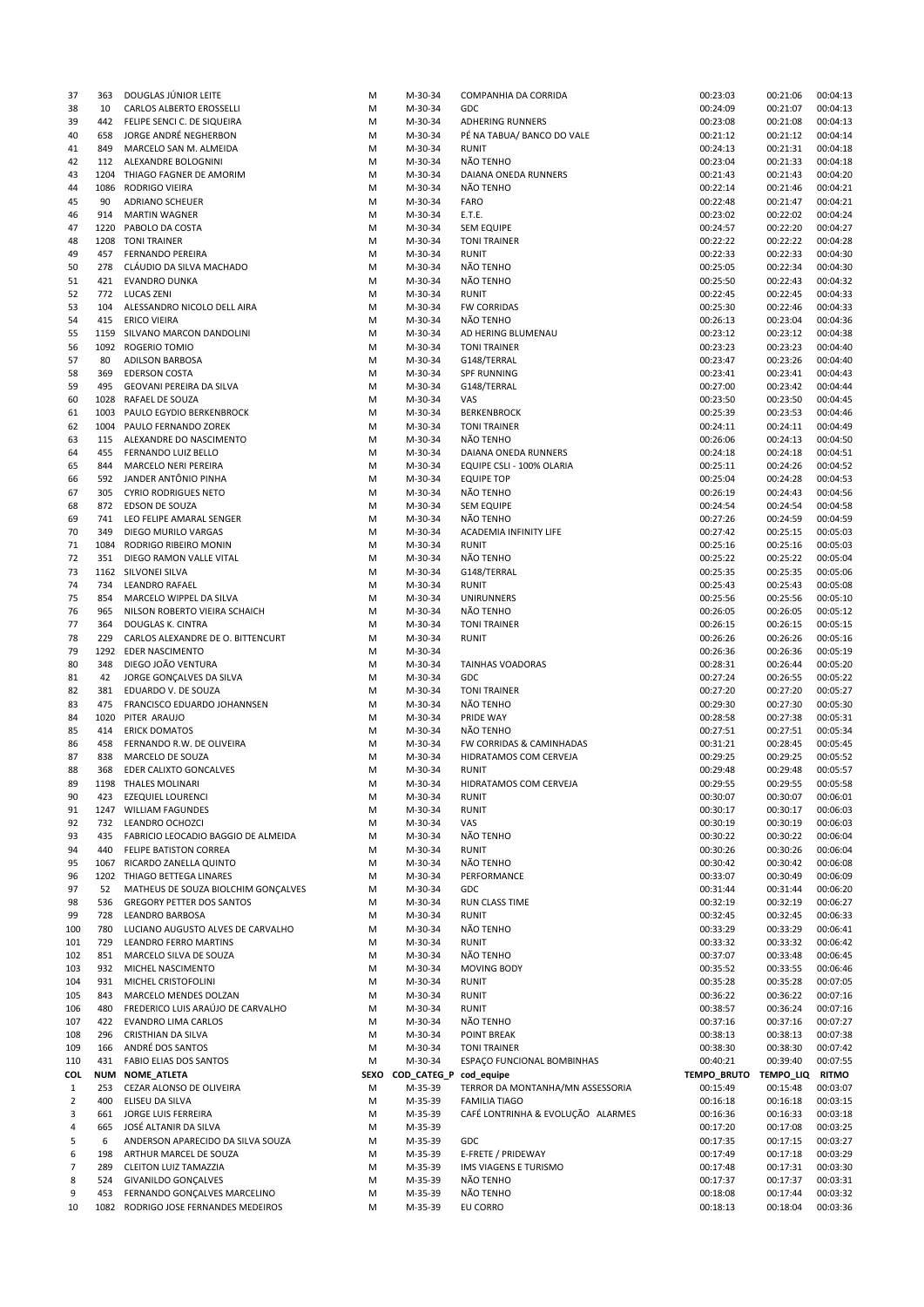| 37           | 363         | DOUGLAS JUNIOR LEITE                                            | M           | M-30-34                | COMPANHIA DA CORRIDA              | 00:23:03              | 00:21:06             | 00:04:13             |
|--------------|-------------|-----------------------------------------------------------------|-------------|------------------------|-----------------------------------|-----------------------|----------------------|----------------------|
| 38           | 10          | CARLOS ALBERTO EROSSELLI                                        | M           | M-30-34                | GDC                               | 00:24:09              | 00:21:07             | 00:04:13             |
| 39           | 442         | FELIPE SENCI C. DE SIQUEIRA                                     | M           | M-30-34                | <b>ADHERING RUNNERS</b>           | 00:23:08              | 00:21:08             | 00:04:13             |
| 40           | 658         | JORGE ANDRÉ NEGHERBON                                           | M           | M-30-34                | PÉ NA TABUA/ BANCO DO VALE        | 00:21:12              | 00:21:12             | 00:04:14             |
| 41           | 849         | MARCELO SAN M. ALMEIDA                                          | M           | M-30-34                | <b>RUNIT</b>                      | 00:24:13              | 00:21:31             | 00:04:18             |
| 42           | 112         | ALEXANDRE BOLOGNINI                                             | M           | M-30-34                | NÃO TENHO                         | 00:23:04              | 00:21:33             | 00:04:18             |
| 43           | 1204        | THIAGO FAGNER DE AMORIM                                         | M           | M-30-34                | DAIANA ONEDA RUNNERS              | 00:21:43              | 00:21:43             | 00:04:20             |
|              | 1086        | RODRIGO VIEIRA                                                  |             | M-30-34                | NÃO TENHO                         | 00:22:14              | 00:21:46             | 00:04:21             |
| 44           |             |                                                                 | M           |                        |                                   |                       |                      |                      |
| 45           | 90          | <b>ADRIANO SCHEUER</b>                                          | M           | M-30-34                | <b>FARO</b>                       | 00:22:48              | 00:21:47             | 00:04:21             |
| 46           | 914         | <b>MARTIN WAGNER</b>                                            | M           | M-30-34                | E.T.E.                            | 00:23:02              | 00:22:02             | 00:04:24             |
| 47           |             | 1220 PABOLO DA COSTA                                            | M           | M-30-34                | <b>SEM EQUIPE</b>                 | 00:24:57              | 00:22:20             | 00:04:27             |
| 48           |             | 1208 TONI TRAINER                                               | M           | M-30-34                | <b>TONI TRAINER</b>               | 00:22:22              | 00:22:22             | 00:04:28             |
| 49           | 457         | <b>FERNANDO PEREIRA</b>                                         | M           | M-30-34                | <b>RUNIT</b>                      | 00:22:33              | 00:22:33             | 00:04:30             |
| 50           | 278         | CLÁUDIO DA SILVA MACHADO                                        | M           | M-30-34                | NÃO TENHO                         | 00:25:05              | 00:22:34             | 00:04:30             |
| 51           | 421         | <b>EVANDRO DUNKA</b>                                            | M           | M-30-34                | NÃO TENHO                         | 00:25:50              | 00:22:43             | 00:04:32             |
|              |             |                                                                 |             |                        |                                   |                       |                      |                      |
| 52           | 772         | <b>LUCAS ZENI</b>                                               | M           | M-30-34                | <b>RUNIT</b>                      | 00:22:45              | 00:22:45             | 00:04:33             |
| 53           | 104         | ALESSANDRO NICOLO DELL AIRA                                     | M           | M-30-34                | <b>FW CORRIDAS</b>                | 00:25:30              | 00:22:46             | 00:04:33             |
| 54           | 415         | <b>ERICO VIEIRA</b>                                             | M           | M-30-34                | NÃO TENHO                         | 00:26:13              | 00:23:04             | 00:04:36             |
| 55           |             | 1159 SILVANO MARCON DANDOLINI                                   | M           | M-30-34                | AD HERING BLUMENAU                | 00:23:12              | 00:23:12             | 00:04:38             |
| 56           | 1092        | ROGERIO TOMIO                                                   | M           | M-30-34                | <b>TONI TRAINER</b>               | 00:23:23              | 00:23:23             | 00:04:40             |
| 57           | 80          | <b>ADILSON BARBOSA</b>                                          | M           | M-30-34                | G148/TERRAL                       | 00:23:47              | 00:23:26             | 00:04:40             |
| 58           | 369         |                                                                 | M           | M-30-34                |                                   | 00:23:41              | 00:23:41             | 00:04:43             |
|              |             | <b>EDERSON COSTA</b>                                            |             |                        | <b>SPF RUNNING</b>                |                       |                      |                      |
| 59           | 495         | GEOVANI PEREIRA DA SILVA                                        | M           | M-30-34                | G148/TERRAL                       | 00:27:00              | 00:23:42             | 00:04:44             |
| 60           | 1028        | RAFAEL DE SOUZA                                                 | M           | M-30-34                | VAS                               | 00:23:50              | 00:23:50             | 00:04:45             |
| 61           | 1003        | PAULO EGYDIO BERKENBROCK                                        | M           | M-30-34                | <b>BERKENBROCK</b>                | 00:25:39              | 00:23:53             | 00:04:46             |
| 62           |             | 1004 PAULO FERNANDO ZOREK                                       | M           | M-30-34                | <b>TONI TRAINER</b>               | 00:24:11              | 00:24:11             | 00:04:49             |
| 63           | 115         | ALEXANDRE DO NASCIMENTO                                         | M           | M-30-34                | NÃO TENHO                         | 00:26:06              | 00:24:13             | 00:04:50             |
| 64           | 455         | <b>FERNANDO LUIZ BELLO</b>                                      | M           | M-30-34                | DAIANA ONEDA RUNNERS              | 00:24:18              | 00:24:18             | 00:04:51             |
|              |             |                                                                 |             |                        |                                   |                       |                      |                      |
| 65           | 844         | MARCELO NERI PEREIRA                                            | M           | M-30-34                | EQUIPE CSLI - 100% OLARIA         | 00:25:11              | 00:24:26             | 00:04:52             |
| 66           | 592         | JANDER ANTÔNIO PINHA                                            | M           | M-30-34                | <b>EQUIPE TOP</b>                 | 00:25:04              | 00:24:28             | 00:04:53             |
| 67           | 305         | <b>CYRIO RODRIGUES NETO</b>                                     | M           | M-30-34                | NÃO TENHO                         | 00:26:19              | 00:24:43             | 00:04:56             |
| 68           | 872         | EDSON DE SOUZA                                                  | M           | M-30-34                | <b>SEM EQUIPE</b>                 | 00:24:54              | 00:24:54             | 00:04:58             |
| 69           | 741         | LEO FELIPE AMARAL SENGER                                        | M           | M-30-34                | NÃO TENHO                         | 00:27:26              | 00:24:59             | 00:04:59             |
| 70           | 349         | DIEGO MURILO VARGAS                                             | M           | M-30-34                | <b>ACADEMIA INFINITY LIFE</b>     | 00:27:42              | 00:25:15             | 00:05:03             |
|              |             |                                                                 |             |                        |                                   |                       |                      |                      |
| 71           | 1084        | RODRIGO RIBEIRO MONIN                                           | M           | M-30-34                | <b>RUNIT</b>                      | 00:25:16              | 00:25:16             | 00:05:03             |
| 72           | 351         | DIEGO RAMON VALLE VITAL                                         | M           | M-30-34                | NÃO TENHO                         | 00:25:22              | 00:25:22             | 00:05:04             |
| 73           |             | 1162 SILVONEI SILVA                                             | M           | M-30-34                | G148/TERRAL                       | 00:25:35              | 00:25:35             | 00:05:06             |
| 74           | 734         | <b>LEANDRO RAFAEL</b>                                           | M           | M-30-34                | <b>RUNIT</b>                      | 00:25:43              | 00:25:43             | 00:05:08             |
| 75           | 854         | MARCELO WIPPEL DA SILVA                                         | M           | M-30-34                | <b>UNIRUNNERS</b>                 | 00:25:56              | 00:25:56             | 00:05:10             |
| 76           | 965         | NILSON ROBERTO VIEIRA SCHAICH                                   | M           | M-30-34                | NÃO TENHO                         | 00:26:05              | 00:26:05             | 00:05:12             |
| 77           | 364         | DOUGLAS K. CINTRA                                               | M           | M-30-34                | <b>TONI TRAINER</b>               | 00:26:15              | 00:26:15             | 00:05:15             |
|              |             |                                                                 |             |                        |                                   |                       |                      |                      |
| 78           | 229         | CARLOS ALEXANDRE DE O. BITTENCURT                               | M           | M-30-34                | <b>RUNIT</b>                      | 00:26:26              | 00:26:26             | 00:05:16             |
| 79           | 1292        | <b>EDER NASCIMENTO</b>                                          | M           | M-30-34                |                                   | 00:26:36              | 00:26:36             | 00:05:19             |
| 80           | 348         | DIEGO JOÃO VENTURA                                              | M           | M-30-34                | TAINHAS VOADORAS                  | 00:28:31              | 00:26:44             | 00:05:20             |
| 81           | 42          | JORGE GONÇALVES DA SILVA                                        | M           | M-30-34                | GDC                               | 00:27:24              | 00:26:55             | 00:05:22             |
| 82           | 381         | EDUARDO V. DE SOUZA                                             | M           | M-30-34                | <b>TONI TRAINER</b>               | 00:27:20              | 00:27:20             | 00:05:27             |
| 83           | 475         | FRANCISCO EDUARDO JOHANNSEN                                     | м           | M-30-34                | NÃO TENHO                         | 00:29:30              | 00:27:30             | 00:05:30             |
| 84           | 1020        | PITER ARAUJO                                                    | M           | M-30-34                | PRIDE WAY                         | 00:28:58              | 00:27:38             | 00:05:31             |
|              |             |                                                                 |             |                        |                                   |                       |                      |                      |
| 85           | 414         | <b>ERICK DOMATOS</b>                                            | M           | M-30-34                | NÃO TENHO                         | 00:27:51              | 00:27:51             | 00:05:34             |
| 86           | 458         | FERNANDO R.W. DE OLIVEIRA                                       | M           | M-30-34                | FW CORRIDAS & CAMINHADAS          | 00:31:21              | 00:28:45             | 00:05:45             |
| 87           | 838         | MARCELO DE SOUZA                                                | M           | M-30-34                | HIDRATAMOS COM CERVEJA            | 00:29:25              | 00:29:25             | 00:05:52             |
| 88           | 368         | EDER CALIXTO GONCALVES                                          | M           | M-30-34                | <b>RUNIT</b>                      | 00:29:48              | 00:29:48             | 00:05:57             |
| 89           |             | 1198 THALES MOLINARI                                            | M           | M-30-34                | HIDRATAMOS COM CERVEJA            | 00:29:55              | 00:29:55             | 00:05:58             |
| 90           | 423         | <b>EZEQUIEL LOURENCI</b>                                        | M           | M-30-34                | <b>RUNIT</b>                      | 00:30:07              | 00:30:07             | 00:06:01             |
| 91           |             | 1247 WILLIAM FAGUNDES                                           | M           | M-30-34                | <b>RUNIT</b>                      | 00:30:17              | 00:30:17             | 00:06:03             |
|              |             |                                                                 |             |                        |                                   |                       |                      |                      |
| 92           | 732         | LEANDRO OCHOZCI                                                 | M           | M-30-34                | VAS                               | 00:30:19              | 00:30:19             | 00:06:03             |
| 93           | 435         | FABRICIO LEOCADIO BAGGIO DE ALMEIDA                             | M           | M-30-34                | NÃO TENHO                         | 00:30:22              | 00:30:22             | 00:06:04             |
| 94           | 440         | FELIPE BATISTON CORREA                                          | M           | M-30-34                | <b>RUNIT</b>                      | 00:30:26              | 00:30:26             | 00:06:04             |
| 95           | 1067        | RICARDO ZANELLA QUINTO                                          | M           | M-30-34                | NÃO TENHO                         | 00:30:42              | 00:30:42             | 00:06:08             |
| 96           | 1202        | THIAGO BETTEGA LINARES                                          | M           | M-30-34                | PERFORMANCE                       | 00:33:07              | 00:30:49             | 00:06:09             |
| 97           | 52          | MATHEUS DE SOUZA BIOLCHIM GONÇALVES                             | M           | M-30-34                | <b>GDC</b>                        | 00:31:44              | 00:31:44             | 00:06:20             |
| 98           | 536         | <b>GREGORY PETTER DOS SANTOS</b>                                | M           | M-30-34                | RUN CLASS TIME                    | 00:32:19              | 00:32:19             | 00:06:27             |
|              |             |                                                                 |             |                        |                                   |                       |                      |                      |
| 99           | 728         | LEANDRO BARBOSA                                                 | M           | M-30-34                | <b>RUNIT</b>                      | 00:32:45              | 00:32:45             | 00:06:33             |
| 100          | 780         | LUCIANO AUGUSTO ALVES DE CARVALHO                               | M           | M-30-34                | NÃO TENHO                         | 00:33:29              | 00:33:29             | 00:06:41             |
| 101          | 729         | <b>LEANDRO FERRO MARTINS</b>                                    | M           | M-30-34                | <b>RUNIT</b>                      | 00:33:32              | 00:33:32             | 00:06:42             |
| 102          | 851         | MARCELO SILVA DE SOUZA                                          | M           | M-30-34                | NÃO TENHO                         | 00:37:07              | 00:33:48             | 00:06:45             |
| 103          | 932         | MICHEL NASCIMENTO                                               | M           | M-30-34                | <b>MOVING BODY</b>                | 00:35:52              | 00:33:55             | 00:06:46             |
| 104          | 931         | MICHEL CRISTOFOLINI                                             | M           | M-30-34                | <b>RUNIT</b>                      | 00:35:28              | 00:35:28             | 00:07:05             |
| 105          | 843         | MARCELO MENDES DOLZAN                                           | M           | M-30-34                | <b>RUNIT</b>                      | 00:36:22              | 00:36:22             | 00:07:16             |
|              |             |                                                                 |             |                        |                                   |                       |                      |                      |
| 106          | 480         | FREDERICO LUIS ARAÚJO DE CARVALHO                               | M           | M-30-34                | <b>RUNIT</b>                      | 00:38:57              | 00:36:24             | 00:07:16             |
| 107          | 422         | <b>EVANDRO LIMA CARLOS</b>                                      | M           | M-30-34                | NÃO TENHO                         | 00:37:16              | 00:37:16             | 00:07:27             |
| 108          | 296         | CRISTHIAN DA SILVA                                              | M           | M-30-34                | POINT BREAK                       | 00:38:13              | 00:38:13             | 00:07:38             |
| 109          | 166         | ANDRÉ DOS SANTOS                                                | M           | M-30-34                | <b>TONI TRAINER</b>               | 00:38:30              | 00:38:30             | 00:07:42             |
| 110          |             | <b>FABIO ELIAS DOS SANTOS</b>                                   | M           | M-30-34                | ESPAÇO FUNCIONAL BOMBINHAS        | 00:40:21              | 00:39:40             | 00:07:55             |
| COL          | 431         |                                                                 | <b>SEXO</b> | COD_CATEG_P cod_equipe |                                   | TEMPO_BRUTO TEMPO_LIQ |                      | <b>RITMO</b>         |
|              | <b>NUM</b>  |                                                                 |             | M-35-39                | TERROR DA MONTANHA/MN ASSESSORIA  | 00:15:49              | 00:15:48             | 00:03:07             |
|              |             | <b>NOME_ATLETA</b>                                              |             |                        |                                   |                       |                      |                      |
| $\mathbf{1}$ | 253         | CEZAR ALONSO DE OLIVEIRA                                        | M           |                        |                                   |                       |                      |                      |
| 2            | 400         | ELISEU DA SILVA                                                 | М           | M-35-39                | <b>FAMILIA TIAGO</b>              | 00:16:18              | 00:16:18             | 00:03:15             |
| 3            | 661         | JORGE LUIS FERREIRA                                             | M           | M-35-39                | CAFÉ LONTRINHA & EVOLUÇÃO ALARMES | 00:16:36              | 00:16:33             | 00:03:18             |
| 4            | 665         | JOSÉ ALTANIR DA SILVA                                           | M           | M-35-39                |                                   | 00:17:20              | 00:17:08             | 00:03:25             |
| 5            | 6           | ANDERSON APARECIDO DA SILVA SOUZA                               | M           | M-35-39                | <b>GDC</b>                        | 00:17:35              | 00:17:15             | 00:03:27             |
| 6            | 198         | ARTHUR MARCEL DE SOUZA                                          | M           | M-35-39                | E-FRETE / PRIDEWAY                | 00:17:49              | 00:17:18             | 00:03:29             |
| 7            | 289         |                                                                 |             |                        |                                   |                       |                      |                      |
|              |             | <b>CLEITON LUIZ TAMAZZIA</b>                                    | M           | M-35-39                | IMS VIAGENS E TURISMO             | 00:17:48              | 00:17:31             | 00:03:30             |
| 8            | 524         | <b>GIVANILDO GONÇALVES</b>                                      | M           | M-35-39                | NÃO TENHO                         | 00:17:37              | 00:17:37             | 00:03:31             |
| 9<br>10      | 453<br>1082 | FERNANDO GONÇALVES MARCELINO<br>RODRIGO JOSE FERNANDES MEDEIROS | M<br>M      | M-35-39<br>M-35-39     | NÃO TENHO<br>EU CORRO             | 00:18:08<br>00:18:13  | 00:17:44<br>00:18:04 | 00:03:32<br>00:03:36 |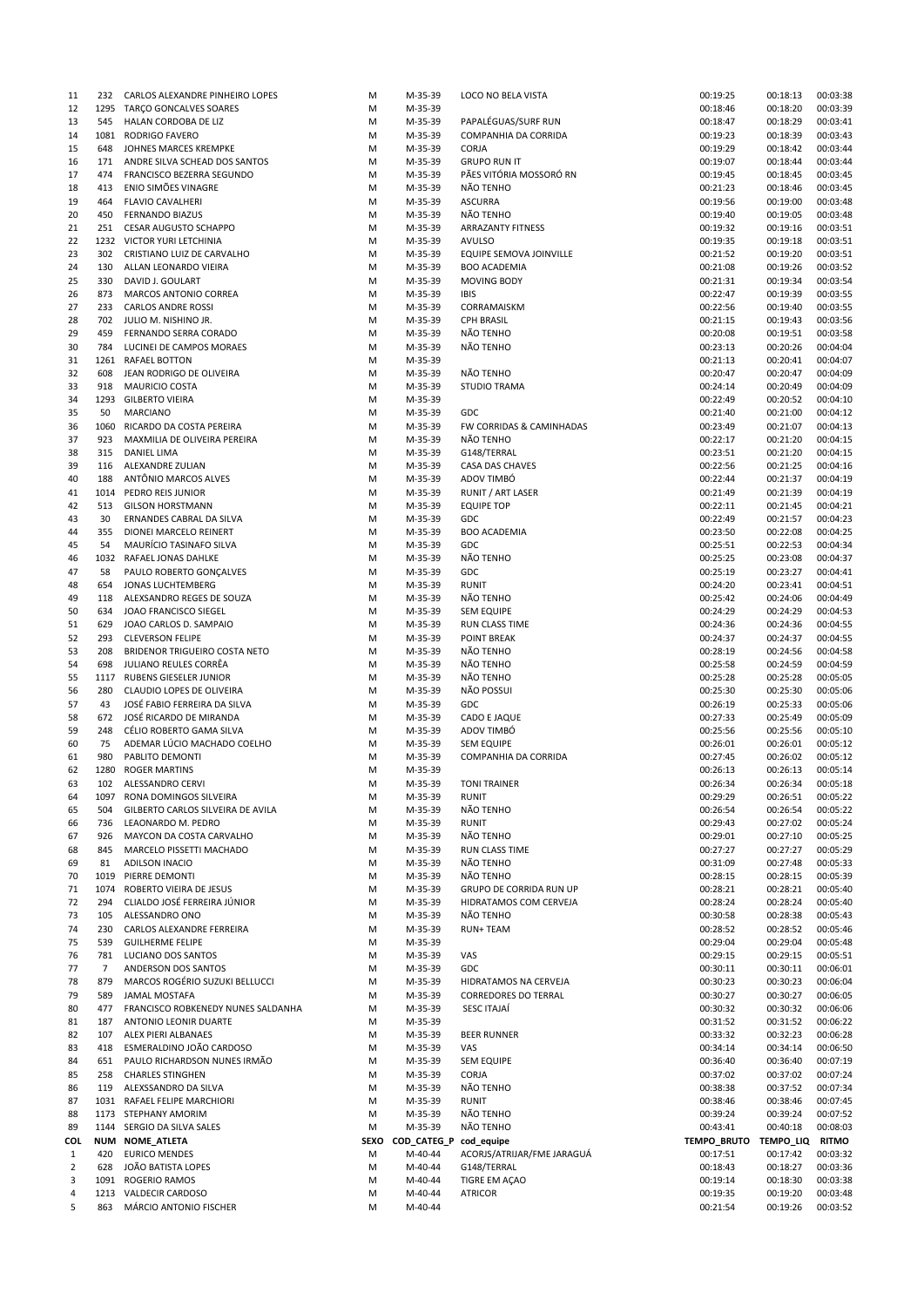| 11           | 232        | CARLOS ALEXANDRE PINHEIRO LOPES                            | M      | M-35-39            | LOCO NO BELA VISTA                             | 00:19:25                    | 00:18:13             | 00:03:38             |
|--------------|------------|------------------------------------------------------------|--------|--------------------|------------------------------------------------|-----------------------------|----------------------|----------------------|
| 12           |            | 1295 TARÇO GONCALVES SOARES                                | M      | M-35-39            |                                                | 00:18:46                    | 00:18:20             | 00:03:39             |
| 13           | 545        | HALAN CORDOBA DE LIZ                                       | M      | M-35-39            | PAPALÉGUAS/SURF RUN                            | 00:18:47                    | 00:18:29             | 00:03:41             |
| 14           | 1081       | RODRIGO FAVERO                                             | M      | M-35-39            | COMPANHIA DA CORRIDA                           | 00:19:23                    | 00:18:39             | 00:03:43             |
| 15           | 648        | JOHNES MARCES KREMPKE                                      | M      | M-35-39            | <b>CORJA</b>                                   | 00:19:29                    | 00:18:42             | 00:03:44             |
| 16<br>17     | 171<br>474 | ANDRE SILVA SCHEAD DOS SANTOS<br>FRANCISCO BEZERRA SEGUNDO | M<br>M | M-35-39<br>M-35-39 | <b>GRUPO RUN IT</b><br>PÃES VITÓRIA MOSSORÓ RN | 00:19:07<br>00:19:45        | 00:18:44<br>00:18:45 | 00:03:44<br>00:03:45 |
| 18           | 413        | ENIO SIMÕES VINAGRE                                        | M      | M-35-39            | NÃO TENHO                                      | 00:21:23                    | 00:18:46             | 00:03:45             |
| 19           | 464        | <b>FLAVIO CAVALHERI</b>                                    | M      | M-35-39            | <b>ASCURRA</b>                                 | 00:19:56                    | 00:19:00             | 00:03:48             |
| 20           | 450        | <b>FERNANDO BIAZUS</b>                                     | M      | M-35-39            | NÃO TENHO                                      | 00:19:40                    | 00:19:05             | 00:03:48             |
| 21           | 251        | <b>CESAR AUGUSTO SCHAPPO</b>                               | M      | M-35-39            | ARRAZANTY FITNESS                              | 00:19:32                    | 00:19:16             | 00:03:51             |
| 22           |            | 1232 VICTOR YURI LETCHINIA                                 | M      | M-35-39            | <b>AVULSO</b>                                  | 00:19:35                    | 00:19:18             | 00:03:51             |
| 23           | 302        | CRISTIANO LUIZ DE CARVALHO                                 | M      | M-35-39            | EQUIPE SEMOVA JOINVILLE                        | 00:21:52                    | 00:19:20             | 00:03:51             |
| 24           | 130        | ALLAN LEONARDO VIEIRA                                      | M      | M-35-39            | <b>BOO ACADEMIA</b>                            | 00:21:08                    | 00:19:26             | 00:03:52             |
| 25           | 330        | DAVID J. GOULART                                           | M      | M-35-39            | <b>MOVING BODY</b>                             | 00:21:31                    | 00:19:34             | 00:03:54             |
| 26           | 873        | MARCOS ANTONIO CORREA                                      | M      | M-35-39            | <b>IBIS</b>                                    | 00:22:47                    | 00:19:39             | 00:03:55             |
| 27           | 233        | <b>CARLOS ANDRE ROSSI</b>                                  | M      | M-35-39            | CORRAMAISKM                                    | 00:22:56                    | 00:19:40             | 00:03:55             |
| 28           | 702        | JULIO M. NISHINO JR.                                       | M      | M-35-39            | <b>CPH BRASIL</b>                              | 00:21:15                    | 00:19:43             | 00:03:56             |
| 29           | 459        | FERNANDO SERRA CORADO                                      | M      | M-35-39            | NÃO TENHO                                      | 00:20:08                    | 00:19:51             | 00:03:58             |
| 30           | 784        | LUCINEI DE CAMPOS MORAES                                   | M      | M-35-39            | NÃO TENHO                                      | 00:23:13                    | 00:20:26             | 00:04:04             |
| 31           | 1261       | <b>RAFAEL BOTTON</b>                                       | M      | M-35-39            |                                                | 00:21:13                    | 00:20:41             | 00:04:07             |
| 32           | 608        | JEAN RODRIGO DE OLIVEIRA                                   | M      | M-35-39            | NÃO TENHO                                      | 00:20:47                    | 00:20:47             | 00:04:09             |
| 33           | 918        | <b>MAURICIO COSTA</b>                                      | M      | M-35-39            | <b>STUDIO TRAMA</b>                            | 00:24:14                    | 00:20:49             | 00:04:09             |
| 34           | 1293       | <b>GILBERTO VIEIRA</b>                                     | M      | M-35-39            |                                                | 00:22:49                    | 00:20:52             | 00:04:10             |
| 35           | 50         | <b>MARCIANO</b>                                            | M      | M-35-39            | GDC                                            | 00:21:40                    | 00:21:00             | 00:04:12             |
| 36           | 1060       | RICARDO DA COSTA PEREIRA                                   | M      | M-35-39            | FW CORRIDAS & CAMINHADAS                       | 00:23:49                    | 00:21:07             | 00:04:13             |
| 37           | 923        | MAXMILIA DE OLIVEIRA PEREIRA<br><b>DANIEL LIMA</b>         | M      | M-35-39            | NÃO TENHO                                      | 00:22:17                    | 00:21:20             | 00:04:15<br>00:04:15 |
| 38<br>39     | 315<br>116 | ALEXANDRE ZULIAN                                           | M<br>M | M-35-39<br>M-35-39 | G148/TERRAL<br>CASA DAS CHAVES                 | 00:23:51<br>00:22:56        | 00:21:20<br>00:21:25 | 00:04:16             |
| 40           | 188        | ANTÔNIO MARCOS ALVES                                       | M      | M-35-39            | ADOV TIMBÓ                                     | 00:22:44                    | 00:21:37             | 00:04:19             |
| 41           | 1014       | PEDRO REIS JUNIOR                                          | M      | M-35-39            | RUNIT / ART LASER                              | 00:21:49                    | 00:21:39             | 00:04:19             |
| 42           | 513        | <b>GILSON HORSTMANN</b>                                    | M      | M-35-39            | <b>EQUIPE TOP</b>                              | 00:22:11                    | 00:21:45             | 00:04:21             |
| 43           | 30         | ERNANDES CABRAL DA SILVA                                   | M      | M-35-39            | GDC                                            | 00:22:49                    | 00:21:57             | 00:04:23             |
| 44           | 355        | DIONEI MARCELO REINERT                                     | M      | M-35-39            | <b>BOO ACADEMIA</b>                            | 00:23:50                    | 00:22:08             | 00:04:25             |
| 45           | 54         | MAURÍCIO TASINAFO SILVA                                    | M      | M-35-39            | GDC                                            | 00:25:51                    | 00:22:53             | 00:04:34             |
| 46           |            | 1032 RAFAEL JONAS DAHLKE                                   | M      | M-35-39            | NÃO TENHO                                      | 00:25:25                    | 00:23:08             | 00:04:37             |
| 47           | 58         | PAULO ROBERTO GONÇALVES                                    | M      | M-35-39            | GDC                                            | 00:25:19                    | 00:23:27             | 00:04:41             |
| 48           | 654        | JONAS LUCHTEMBERG                                          | M      | M-35-39            | <b>RUNIT</b>                                   | 00:24:20                    | 00:23:41             | 00:04:51             |
| 49           | 118        | ALEXSANDRO REGES DE SOUZA                                  | M      | M-35-39            | NÃO TENHO                                      | 00:25:42                    | 00:24:06             | 00:04:49             |
| 50           | 634        | JOAO FRANCISCO SIEGEL                                      | M      | M-35-39            | <b>SEM EQUIPE</b>                              | 00:24:29                    | 00:24:29             | 00:04:53             |
| 51           | 629        | JOAO CARLOS D. SAMPAIO                                     | M      | M-35-39            | RUN CLASS TIME                                 | 00:24:36                    | 00:24:36             | 00:04:55             |
| 52           | 293        | <b>CLEVERSON FELIPE</b>                                    | M      | M-35-39            | <b>POINT BREAK</b>                             | 00:24:37                    | 00:24:37             | 00:04:55             |
| 53           | 208        | BRIDENOR TRIGUEIRO COSTA NETO                              | M      | M-35-39            | NÃO TENHO                                      | 00:28:19                    | 00:24:56             | 00:04:58             |
| 54           | 698        | JULIANO REULES CORRÊA                                      | M      | M-35-39            | NÃO TENHO                                      | 00:25:58                    | 00:24:59             | 00:04:59             |
| 55           |            | 1117 RUBENS GIESELER JUNIOR                                | M      | M-35-39            | NÃO TENHO                                      | 00:25:28                    | 00:25:28             | 00:05:05             |
| 56           | 280        | CLAUDIO LOPES DE OLIVEIRA                                  | M      | M-35-39            | NÃO POSSUI                                     | 00:25:30                    | 00:25:30             | 00:05:06             |
| 57           | 43         | JOSÉ FABIO FERREIRA DA SILVA                               | M      | M-35-39            | GDC                                            | 00:26:19                    | 00:25:33             | 00:05:06             |
| 58           | 672        | JOSÉ RICARDO DE MIRANDA                                    | M      | M-35-39            | CADO E JAQUE                                   | 00:27:33                    | 00:25:49             | 00:05:09             |
| 59           | 248        | CÉLIO ROBERTO GAMA SILVA                                   | M      | M-35-39            | ADOV TIMBÓ                                     | 00:25:56                    | 00:25:56             | 00:05:10             |
| 60           | 75<br>980  | ADEMAR LÚCIO MACHADO COELHO<br>PABLITO DEMONTI             | M      | M-35-39            | <b>SEM EQUIPE</b>                              | 00:26:01<br>00:27:45        | 00:26:01             | 00:05:12<br>00:05:12 |
| 61<br>62     | 1280       | <b>ROGER MARTINS</b>                                       | M<br>M | M-35-39<br>M-35-39 | COMPANHIA DA CORRIDA                           | 00:26:13                    | 00:26:02<br>00:26:13 | 00:05:14             |
| 63           | 102        | <b>ALESSANDRO CERVI</b>                                    | M      | M-35-39            | <b>TONI TRAINER</b>                            | 00:26:34                    | 00:26:34             | 00:05:18             |
| 64           |            | 1097 RONA DOMINGOS SILVEIRA                                | M      | M-35-39            | RUNIT                                          | 00:29:29                    | 00:26:51             | 00:05:22             |
| 65           | 504        | GILBERTO CARLOS SILVEIRA DE AVILA                          | M      | M-35-39            | NÃO TENHO                                      | 00:26:54                    | 00:26:54             | 00:05:22             |
| 66           | 736        | LEAONARDO M. PEDRO                                         | M      | M-35-39            | RUNIT                                          | 00:29:43                    | 00:27:02             | 00:05:24             |
| 67           | 926        | MAYCON DA COSTA CARVALHO                                   | M      | M-35-39            | NÃO TENHO                                      | 00:29:01                    | 00:27:10             | 00:05:25             |
| 68           | 845        | MARCELO PISSETTI MACHADO                                   | M      | M-35-39            | RUN CLASS TIME                                 | 00:27:27                    | 00:27:27             | 00:05:29             |
| 69           | 81         | <b>ADILSON INACIO</b>                                      | M      | M-35-39            | NÃO TENHO                                      | 00:31:09                    | 00:27:48             | 00:05:33             |
| 70           |            | 1019 PIERRE DEMONTI                                        | M      | M-35-39            | NÃO TENHO                                      | 00:28:15                    | 00:28:15             | 00:05:39             |
| 71           | 1074       | ROBERTO VIEIRA DE JESUS                                    | M      | M-35-39            | GRUPO DE CORRIDA RUN UP                        | 00:28:21                    | 00:28:21             | 00:05:40             |
| 72           | 294        | CLIALDO JOSÉ FERREIRA JÚNIOR                               | M      | M-35-39            | HIDRATAMOS COM CERVEJA                         | 00:28:24                    | 00:28:24             | 00:05:40             |
| 73           | 105        | ALESSANDRO ONO                                             | M      | M-35-39            | NÃO TENHO                                      | 00:30:58                    | 00:28:38             | 00:05:43             |
| 74           | 230        | CARLOS ALEXANDRE FERREIRA                                  | M      | M-35-39            | RUN+ TEAM                                      | 00:28:52                    | 00:28:52             | 00:05:46             |
| 75           | 539        | <b>GUILHERME FELIPE</b>                                    | M      | M-35-39            |                                                | 00:29:04                    | 00:29:04             | 00:05:48             |
| 76           | 781        | LUCIANO DOS SANTOS                                         | M      | M-35-39            | VAS                                            | 00:29:15                    | 00:29:15             | 00:05:51             |
| 77           | 7          | ANDERSON DOS SANTOS                                        | M      | M-35-39            | GDC                                            | 00:30:11                    | 00:30:11             | 00:06:01             |
| 78           | 879        | MARCOS ROGÉRIO SUZUKI BELLUCCI                             | M      | M-35-39            | HIDRATAMOS NA CERVEJA                          | 00:30:23                    | 00:30:23             | 00:06:04             |
| 79           | 589        | JAMAL MOSTAFA                                              | M      | M-35-39            | <b>CORREDORES DO TERRAL</b>                    | 00:30:27                    | 00:30:27             | 00:06:05             |
| 80           | 477        | FRANCISCO ROBKENEDY NUNES SALDANHA                         | M      | M-35-39            | SESC ITAJAÍ                                    | 00:30:32                    | 00:30:32             | 00:06:06             |
| 81           | 187        | ANTONIO LEONIR DUARTE                                      | M      | M-35-39            |                                                | 00:31:52                    | 00:31:52             | 00:06:22             |
| 82           | 107        | ALEX PIERI ALBANAES                                        | M      | M-35-39            | <b>BEER RUNNER</b>                             | 00:33:32                    | 00:32:23             | 00:06:28             |
| 83           | 418<br>651 | ESMERALDINO JOÃO CARDOSO                                   | M      | M-35-39            | VAS                                            | 00:34:14                    | 00:34:14             | 00:06:50             |
| 84<br>85     | 258        | PAULO RICHARDSON NUNES IRMÃO<br><b>CHARLES STINGHEN</b>    | M<br>M | M-35-39<br>M-35-39 | <b>SEM EQUIPE</b><br><b>CORJA</b>              | 00:36:40<br>00:37:02        | 00:36:40<br>00:37:02 | 00:07:19<br>00:07:24 |
| 86           | 119        | ALEXSSANDRO DA SILVA                                       | M      | M-35-39            | NÃO TENHO                                      | 00:38:38                    | 00:37:52             | 00:07:34             |
| 87           |            | 1031 RAFAEL FELIPE MARCHIORI                               | M      | M-35-39            | RUNIT                                          | 00:38:46                    | 00:38:46             | 00:07:45             |
| 88           |            | 1173 STEPHANY AMORIM                                       | M      | M-35-39            | NÃO TENHO                                      | 00:39:24                    | 00:39:24             | 00:07:52             |
| 89           | 1144       | SERGIO DA SILVA SALES                                      | M      | M-35-39            | NÃO TENHO                                      | 00:43:41                    | 00:40:18             | 00:08:03             |
| COL          |            | NUM NOME_ATLETA                                            | SEXO   | COD_CATEG_P        | cod_equipe                                     | TEMPO_BRUTO TEMPO_LIQ RITMO |                      |                      |
| $\mathbf{1}$ | 420        | <b>EURICO MENDES</b>                                       | M      | M-40-44            | ACORJS/ATRIJAR/FME JARAGUÁ                     | 00:17:51                    | 00:17:42             | 00:03:32             |
| 2            | 628        | JOÃO BATISTA LOPES                                         | M      | M-40-44            | G148/TERRAL                                    | 00:18:43                    | 00:18:27             | 00:03:36             |
| 3            |            | 1091 ROGERIO RAMOS                                         | M      | M-40-44            | TIGRE EM AÇAO                                  | 00:19:14                    | 00:18:30             | 00:03:38             |
| 4            |            | 1213 VALDECIR CARDOSO                                      | M      | M-40-44            | <b>ATRICOR</b>                                 | 00:19:35                    | 00:19:20             | 00:03:48             |
| 5            | 863        | MÁRCIO ANTONIO FISCHER                                     | м      | M-40-44            |                                                | 00:21:54                    | 00:19:26             | 00:03:52             |
|              |            |                                                            |        |                    |                                                |                             |                      |                      |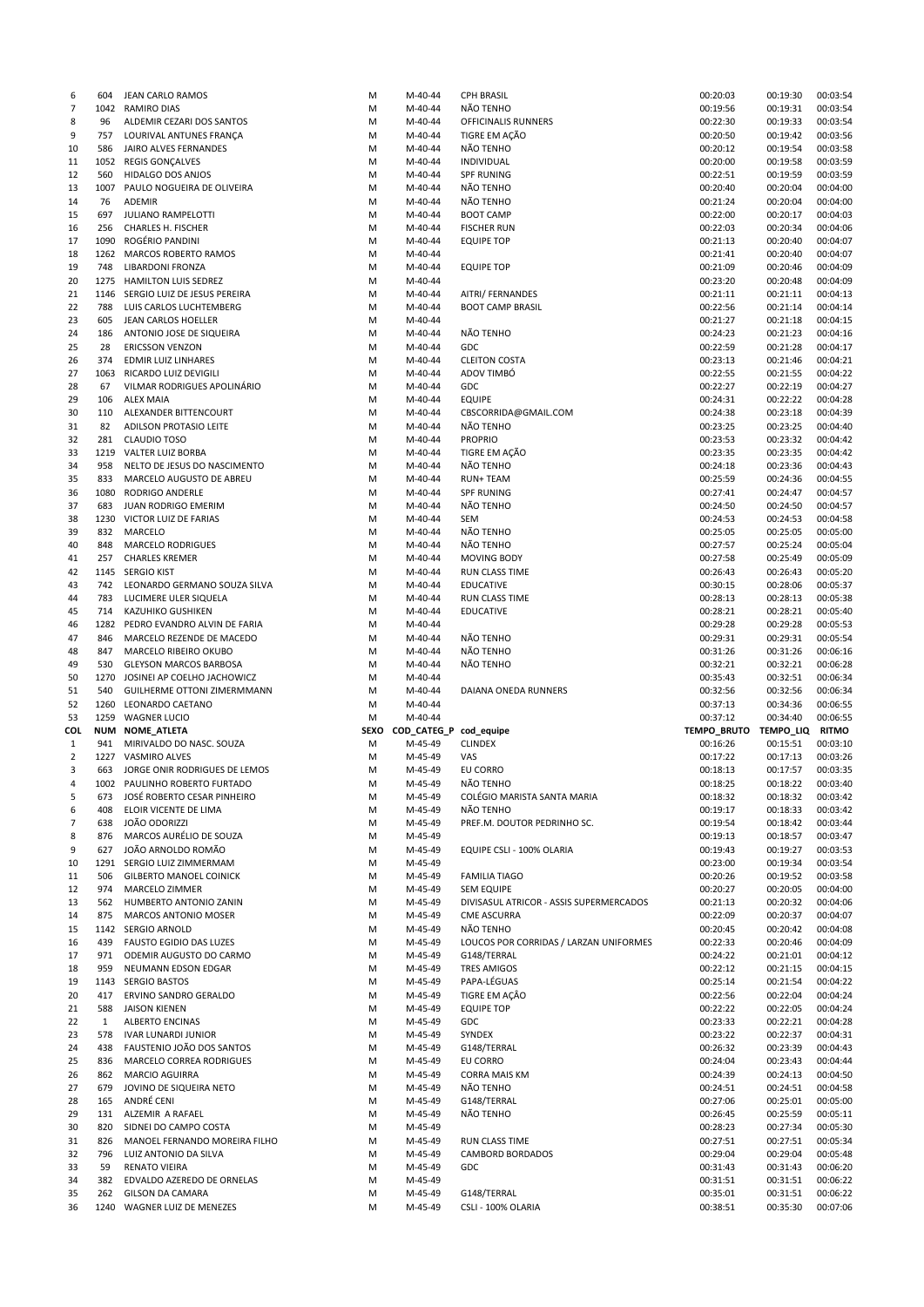| 6              | 604          | JEAN CARLO RAMOS                                       | M      | M-40-44                | <b>CPH BRASIL</b>                       | 00:20:03              | 00:19:30             | 00:03:54             |
|----------------|--------------|--------------------------------------------------------|--------|------------------------|-----------------------------------------|-----------------------|----------------------|----------------------|
| $\overline{7}$ |              | 1042 RAMIRO DIAS                                       | M      | M-40-44                | NÃO TENHO                               | 00:19:56              | 00:19:31             | 00:03:54             |
| 8              | 96           | ALDEMIR CEZARI DOS SANTOS                              | M      | M-40-44                | OFFICINALIS RUNNERS                     | 00:22:30              | 00:19:33             | 00:03:54             |
| 9              | 757          | LOURIVAL ANTUNES FRANÇA                                | M      | M-40-44                | TIGRE EM AÇÃO                           | 00:20:50              | 00:19:42             | 00:03:56             |
| 10             | 586          | JAIRO ALVES FERNANDES                                  | M      | M-40-44                | NÃO TENHO                               | 00:20:12              | 00:19:54             | 00:03:58             |
| 11             | 1052         | <b>REGIS GONÇALVES</b>                                 | M      | M-40-44                | INDIVIDUAL                              | 00:20:00              | 00:19:58             | 00:03:59             |
| 12             | 560          | HIDALGO DOS ANJOS                                      | M      | M-40-44                | <b>SPF RUNING</b>                       | 00:22:51              | 00:19:59             | 00:03:59             |
|                |              |                                                        |        |                        |                                         |                       |                      |                      |
| 13             | 1007         | PAULO NOGUEIRA DE OLIVEIRA                             | M      | M-40-44                | NÃO TENHO                               | 00:20:40              | 00:20:04             | 00:04:00             |
| 14             | 76           | <b>ADEMIR</b>                                          | M      | M-40-44                | NÃO TENHO                               | 00:21:24              | 00:20:04             | 00:04:00             |
| 15             | 697          | JULIANO RAMPELOTTI                                     | M      | M-40-44                | <b>BOOT CAMP</b>                        | 00:22:00              | 00:20:17             | 00:04:03             |
| 16             | 256          | CHARLES H. FISCHER                                     | M      | M-40-44                | <b>FISCHER RUN</b>                      | 00:22:03              | 00:20:34             | 00:04:06             |
| 17             | 1090         | ROGÉRIO PANDINI                                        | M      | M-40-44                | <b>EQUIPE TOP</b>                       | 00:21:13              | 00:20:40             | 00:04:07             |
| 18             | 1262         | MARCOS ROBERTO RAMOS                                   | M      | M-40-44                |                                         | 00:21:41              | 00:20:40             | 00:04:07             |
| 19             | 748          | LIBARDONI FRONZA                                       | M      | M-40-44                | <b>EQUIPE TOP</b>                       | 00:21:09              | 00:20:46             | 00:04:09             |
| 20             |              | 1275 HAMILTON LUIS SEDREZ                              | M      | M-40-44                |                                         | 00:23:20              | 00:20:48             | 00:04:09             |
|                |              |                                                        |        |                        |                                         |                       |                      |                      |
| 21             | 1146         | SERGIO LUIZ DE JESUS PEREIRA                           | M      | M-40-44                | AITRI/ FERNANDES                        | 00:21:11              | 00:21:11             | 00:04:13             |
| 22             | 788          | LUIS CARLOS LUCHTEMBERG                                | M      | M-40-44                | <b>BOOT CAMP BRASIL</b>                 | 00:22:56              | 00:21:14             | 00:04:14             |
| 23             | 605          | JEAN CARLOS HOELLER                                    | M      | M-40-44                |                                         | 00:21:27              | 00:21:18             | 00:04:15             |
| 24             | 186          | ANTONIO JOSE DE SIQUEIRA                               | M      | M-40-44                | NÃO TENHO                               | 00:24:23              | 00:21:23             | 00:04:16             |
| 25             | 28           | <b>ERICSSON VENZON</b>                                 | M      | M-40-44                | GDC                                     | 00:22:59              | 00:21:28             | 00:04:17             |
| 26             | 374          | <b>EDMIR LUIZ LINHARES</b>                             | M      | M-40-44                | <b>CLEITON COSTA</b>                    | 00:23:13              | 00:21:46             | 00:04:21             |
| 27             | 1063         | RICARDO LUIZ DEVIGILI                                  | M      | M-40-44                | ADOV TIMBÓ                              | 00:22:55              | 00:21:55             | 00:04:22             |
| 28             | 67           | VILMAR RODRIGUES APOLINÁRIO                            | M      | M-40-44                | GDC                                     | 00:22:27              | 00:22:19             | 00:04:27             |
|                |              |                                                        |        |                        |                                         |                       |                      |                      |
| 29             | 106          | <b>ALEX MAIA</b>                                       | M      | M-40-44                | <b>EQUIPE</b>                           | 00:24:31              | 00:22:22             | 00:04:28             |
| 30             | 110          | ALEXANDER BITTENCOURT                                  | M      | M-40-44                | CBSCORRIDA@GMAIL.COM                    | 00:24:38              | 00:23:18             | 00:04:39             |
| 31             | 82           | ADILSON PROTASIO LEITE                                 | M      | M-40-44                | NÃO TENHO                               | 00:23:25              | 00:23:25             | 00:04:40             |
| 32             | 281          | <b>CLAUDIO TOSO</b>                                    | M      | M-40-44                | <b>PROPRIO</b>                          | 00:23:53              | 00:23:32             | 00:04:42             |
| 33             |              | 1219 VALTER LUIZ BORBA                                 | M      | M-40-44                | TIGRE EM AÇÃO                           | 00:23:35              | 00:23:35             | 00:04:42             |
| 34             | 958          | NELTO DE JESUS DO NASCIMENTO                           | M      | M-40-44                | NÃO TENHO                               | 00:24:18              | 00:23:36             | 00:04:43             |
| 35             | 833          | MARCELO AUGUSTO DE ABREU                               | M      | M-40-44                | <b>RUN+ TEAM</b>                        | 00:25:59              | 00:24:36             | 00:04:55             |
| 36             | 1080         | RODRIGO ANDERLE                                        | M      | M-40-44                | <b>SPF RUNING</b>                       | 00:27:41              | 00:24:47             | 00:04:57             |
|                |              |                                                        |        |                        |                                         |                       |                      | 00:04:57             |
| 37             | 683          | JUAN RODRIGO EMERIM                                    | M      | M-40-44                | NÃO TENHO                               | 00:24:50              | 00:24:50             |                      |
| 38             |              | 1230 VICTOR LUIZ DE FARIAS                             | M      | M-40-44                | SEM                                     | 00:24:53              | 00:24:53             | 00:04:58             |
| 39             | 832          | MARCELO                                                | M      | M-40-44                | NÃO TENHO                               | 00:25:05              | 00:25:05             | 00:05:00             |
| 40             | 848          | <b>MARCELO RODRIGUES</b>                               | M      | M-40-44                | NÃO TENHO                               | 00:27:57              | 00:25:24             | 00:05:04             |
| 41             | 257          | <b>CHARLES KREMER</b>                                  | M      | M-40-44                | MOVING BODY                             | 00:27:58              | 00:25:49             | 00:05:09             |
| 42             |              | 1145 SERGIO KIST                                       | M      | M-40-44                | RUN CLASS TIME                          | 00:26:43              | 00:26:43             | 00:05:20             |
| 43             | 742          | LEONARDO GERMANO SOUZA SILVA                           | M      | M-40-44                | <b>EDUCATIVE</b>                        | 00:30:15              | 00:28:06             | 00:05:37             |
| 44             | 783          | LUCIMERE ULER SIQUELA                                  | M      | M-40-44                | RUN CLASS TIME                          | 00:28:13              | 00:28:13             | 00:05:38             |
|                |              |                                                        |        |                        |                                         |                       |                      |                      |
| 45             | 714          | <b>KAZUHIKO GUSHIKEN</b>                               | м      | M-40-44                | <b>EDUCATIVE</b>                        | 00:28:21              | 00:28:21             | 00:05:40             |
| 46             | 1282         | PEDRO EVANDRO ALVIN DE FARIA                           | M      | M-40-44                |                                         | 00:29:28              | 00:29:28             | 00:05:53             |
| 47             | 846          | MARCELO REZENDE DE MACEDO                              | M      | M-40-44                | NÃO TENHO                               | 00:29:31              | 00:29:31             | 00:05:54             |
|                |              |                                                        | M      | M-40-44                | NÃO TENHO                               | 00:31:26              | 00:31:26             | 00:06:16             |
| 48             | 847          | MARCELO RIBEIRO OKUBO                                  |        |                        |                                         |                       |                      |                      |
| 49             | 530          | <b>GLEYSON MARCOS BARBOSA</b>                          | M      | M-40-44                | NÃO TENHO                               | 00:32:21              | 00:32:21             | 00:06:28             |
|                | 1270         |                                                        |        |                        |                                         |                       |                      |                      |
| 50             |              | JOSINEI AP COELHO JACHOWICZ                            | M      | M-40-44                |                                         | 00:35:43              | 00:32:51             | 00:06:34             |
| 51             | 540          | GUILHERME OTTONI ZIMERMMANN                            | M      | M-40-44                | DAIANA ONEDA RUNNERS                    | 00:32:56              | 00:32:56             | 00:06:34             |
| 52             | 1260         | LEONARDO CAETANO                                       | M      | M-40-44                |                                         | 00:37:13              | 00:34:36             | 00:06:55             |
| 53             |              | 1259 WAGNER LUCIO                                      | M      | M-40-44                |                                         | 00:37:12              | 00:34:40             | 00:06:55             |
| COL            | <b>NUM</b>   | <b>NOME_ATLETA</b>                                     | SEXO   | COD_CATEG_P cod_equipe |                                         | TEMPO_BRUTO TEMPO_LIQ |                      | <b>RITMO</b>         |
| $\mathbf{1}$   | 941          | MIRIVALDO DO NASC. SOUZA                               | M      | M-45-49                | <b>CLINDEX</b>                          | 00:16:26              | 00:15:51             | 00:03:10             |
| 2              |              | 1227 VASMIRO ALVES                                     | M      | M-45-49                | VAS                                     | 00:17:22              | 00:17:13             | 00:03:26             |
| 3              | 663          | JORGE ONIR RODRIGUES DE LEMOS                          | M      | M-45-49                | EU CORRO                                | 00:18:13              | 00:17:57             | 00:03:35             |
| 4              |              | 1002 PAULINHO ROBERTO FURTADO                          | М      | M-45-49                | NÃO TENHO                               | 00:18:25              | 00:18:22             | 00:03:40             |
| 5              | 673          | JOSÉ ROBERTO CESAR PINHEIRO                            | M      | M-45-49                | COLÉGIO MARISTA SANTA MARIA             | 00:18:32              | 00:18:32             | 00:03:42             |
|                |              |                                                        |        |                        |                                         |                       |                      |                      |
| 6              | 408          | ELOIR VICENTE DE LIMA                                  | M      | M-45-49                | NÃO TENHO                               | 00:19:17              | 00:18:33             | 00:03:42             |
| 7              | 638          | JOÃO ODORIZZI                                          | M      | M-45-49                | PREF.M. DOUTOR PEDRINHO SC.             | 00:19:54              | 00:18:42             | 00:03:44             |
| 8              | 876          | MARCOS AURÉLIO DE SOUZA                                | M      | M-45-49                |                                         | 00:19:13              | 00:18:57             | 00:03:47             |
| 9              | 627          | JOÃO ARNOLDO ROMÃO                                     | M      | M-45-49                | EQUIPE CSLI - 100% OLARIA               | 00:19:43              | 00:19:27             | 00:03:53             |
| 10             | 1291         | SERGIO LUIZ ZIMMERMAM                                  | M      | M-45-49                |                                         | 00:23:00              | 00:19:34             | 00:03:54             |
| 11             | 506          | <b>GILBERTO MANOEL COINICK</b>                         | M      | M-45-49                | <b>FAMILIA TIAGO</b>                    | 00:20:26              | 00:19:52             | 00:03:58             |
| 12             | 974          | MARCELO ZIMMER                                         | м      | M-45-49                | <b>SEM EQUIPE</b>                       | 00:20:27              | 00:20:05             | 00:04:00             |
| 13             | 562          | HUMBERTO ANTONIO ZANIN                                 | M      | M-45-49                | DIVISASUL ATRICOR - ASSIS SUPERMERCADOS | 00:21:13              | 00:20:32             | 00:04:06             |
| 14             | 875          | MARCOS ANTONIO MOSER                                   | M      | M-45-49                | <b>CME ASCURRA</b>                      | 00:22:09              | 00:20:37             | 00:04:07             |
| 15             |              | 1142 SERGIO ARNOLD                                     | M      | M-45-49                | NÃO TENHO                               | 00:20:45              | 00:20:42             | 00:04:08             |
|                | 439          | <b>FAUSTO EGIDIO DAS LUZES</b>                         |        |                        |                                         |                       |                      |                      |
| 16             |              |                                                        | M      | M-45-49                | LOUCOS POR CORRIDAS / LARZAN UNIFORMES  | 00:22:33              | 00:20:46             | 00:04:09             |
| 17             | 971          | ODEMIR AUGUSTO DO CARMO                                | M      | M-45-49                | G148/TERRAL                             | 00:24:22              | 00:21:01             | 00:04:12             |
| 18             | 959          | NEUMANN EDSON EDGAR                                    | M      | M-45-49                | <b>TRES AMIGOS</b>                      | 00:22:12              | 00:21:15             | 00:04:15             |
| 19             | 1143         | <b>SERGIO BASTOS</b>                                   | M      | M-45-49                | PAPA-LÉGUAS                             | 00:25:14              | 00:21:54             | 00:04:22             |
| 20             | 417          | ERVINO SANDRO GERALDO                                  | M      | M-45-49                | TIGRE EM AÇÃO                           | 00:22:56              | 00:22:04             | 00:04:24             |
| 21             | 588          | <b>JAISON KIENEN</b>                                   | M      | M-45-49                | <b>EQUIPE TOP</b>                       | 00:22:22              | 00:22:05             | 00:04:24             |
| 22             | $\mathbf{1}$ | <b>ALBERTO ENCINAS</b>                                 | M      | M-45-49                | <b>GDC</b>                              | 00:23:33              | 00:22:21             | 00:04:28             |
| 23             | 578          | <b>IVAR LUNARDI JUNIOR</b>                             | М      | M-45-49                | SYNDEX                                  | 00:23:22              | 00:22:37             | 00:04:31             |
| 24             | 438          | FAUSTENIO JOÃO DOS SANTOS                              | M      | M-45-49                | G148/TERRAL                             | 00:26:32              | 00:23:39             | 00:04:43             |
| 25             | 836          | MARCELO CORREA RODRIGUES                               | M      | M-45-49                | EU CORRO                                | 00:24:04              | 00:23:43             | 00:04:44             |
|                |              |                                                        |        |                        |                                         |                       |                      |                      |
| 26             | 862          | MARCIO AGUIRRA                                         | M      | M-45-49                | <b>CORRA MAIS KM</b>                    | 00:24:39              | 00:24:13             | 00:04:50             |
| 27             | 679          | JOVINO DE SIQUEIRA NETO                                | М      | M-45-49                | NÃO TENHO                               | 00:24:51              | 00:24:51             | 00:04:58             |
| 28             | 165          | ANDRÉ CENI                                             | M      | M-45-49                | G148/TERRAL                             | 00:27:06              | 00:25:01             | 00:05:00             |
| 29             | 131          | ALZEMIR A RAFAEL                                       | M      | M-45-49                | NÃO TENHO                               | 00:26:45              | 00:25:59             | 00:05:11             |
| 30             | 820          | SIDNEI DO CAMPO COSTA                                  | М      | M-45-49                |                                         | 00:28:23              | 00:27:34             | 00:05:30             |
| 31             | 826          | MANOEL FERNANDO MOREIRA FILHO                          | м      | M-45-49                | RUN CLASS TIME                          | 00:27:51              | 00:27:51             | 00:05:34             |
| 32             | 796          | LUIZ ANTONIO DA SILVA                                  | M      | M-45-49                | <b>CAMBORD BORDADOS</b>                 | 00:29:04              | 00:29:04             | 00:05:48             |
| 33             | 59           | RENATO VIEIRA                                          | M      | M-45-49                | GDC                                     | 00:31:43              | 00:31:43             | 00:06:20             |
| 34             | 382          | EDVALDO AZEREDO DE ORNELAS                             | M      | M-45-49                |                                         |                       | 00:31:51             | 00:06:22             |
|                |              |                                                        |        |                        |                                         | 00:31:51              |                      |                      |
| 35<br>36       | 262          | <b>GILSON DA CAMARA</b><br>1240 WAGNER LUIZ DE MENEZES | M<br>M | M-45-49<br>M-45-49     | G148/TERRAL<br>CSLI - 100% OLARIA       | 00:35:01<br>00:38:51  | 00:31:51<br>00:35:30 | 00:06:22<br>00:07:06 |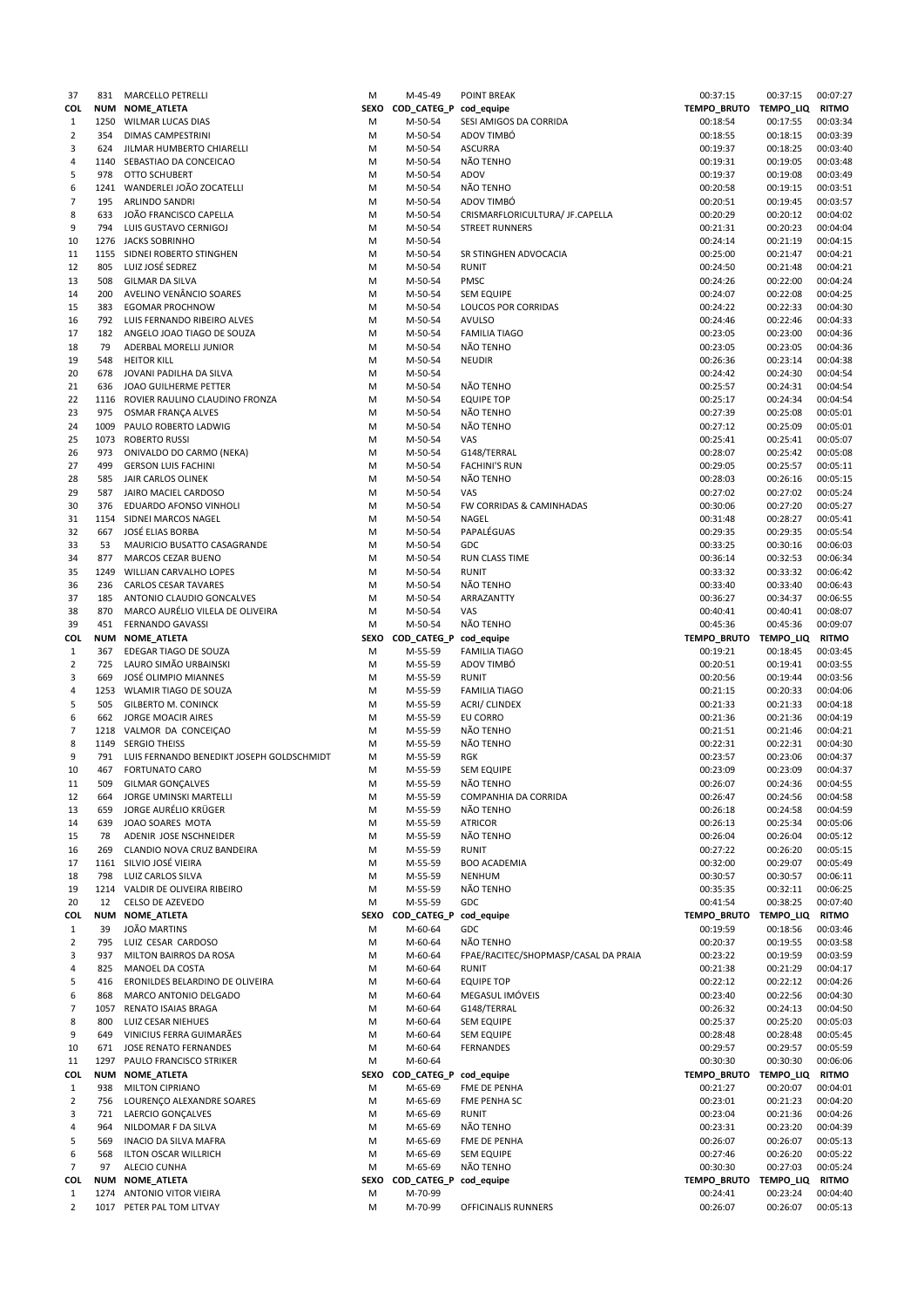| 37             | 831        | MARCELLO PETRELLI                         | М    | M-45-49                     | <b>POINT BREAK</b>                   | 00:37:15              | 00:37:15 | 00:07:27     |
|----------------|------------|-------------------------------------------|------|-----------------------------|--------------------------------------|-----------------------|----------|--------------|
| COL            |            | NUM NOME_ATLETA                           |      | SEXO COD_CATEG_P cod_equipe |                                      | TEMPO_BRUTO TEMPO_LIQ |          | <b>RITMO</b> |
| 1              | 1250       | WILMAR LUCAS DIAS                         | M    | M-50-54                     | SESI AMIGOS DA CORRIDA               | 00:18:54              | 00:17:55 | 00:03:34     |
| 2              | 354        | <b>DIMAS CAMPESTRINI</b>                  | М    | M-50-54                     | ADOV TIMBÓ                           | 00:18:55              | 00:18:15 | 00:03:39     |
| 3              | 624        | JILMAR HUMBERTO CHIARELLI                 | М    | M-50-54                     | <b>ASCURRA</b>                       | 00:19:37              | 00:18:25 | 00:03:40     |
| 4              | 1140       | SEBASTIAO DA CONCEICAO                    | M    | M-50-54                     | NÃO TENHO                            | 00:19:31              | 00:19:05 | 00:03:48     |
| 5              | 978        | <b>OTTO SCHUBERT</b>                      | М    | M-50-54                     | ADOV                                 | 00:19:37              | 00:19:08 | 00:03:49     |
| 6              |            | 1241 WANDERLEI JOÃO ZOCATELLI             | M    | M-50-54                     | NÃO TENHO                            | 00:20:58              | 00:19:15 | 00:03:51     |
| 7              | 195        | <b>ARLINDO SANDRI</b>                     | M    | M-50-54                     | ADOV TIMBÓ                           | 00:20:51              | 00:19:45 | 00:03:57     |
| 8              | 633        | JOÃO FRANCISCO CAPELLA                    | М    | M-50-54                     | CRISMARFLORICULTURA/ JF.CAPELLA      | 00:20:29              | 00:20:12 | 00:04:02     |
| 9              | 794        | LUIS GUSTAVO CERNIGOJ                     | M    | M-50-54                     | <b>STREET RUNNERS</b>                | 00:21:31              | 00:20:23 | 00:04:04     |
| 10             |            | 1276 JACKS SOBRINHO                       | M    | M-50-54                     |                                      | 00:24:14              | 00:21:19 | 00:04:15     |
| 11             | 1155       | SIDNEI ROBERTO STINGHEN                   | M    | M-50-54                     | SR STINGHEN ADVOCACIA                | 00:25:00              | 00:21:47 | 00:04:21     |
| 12             | 805        | LUIZ JOSÉ SEDREZ                          | M    | M-50-54                     | <b>RUNIT</b>                         | 00:24:50              | 00:21:48 | 00:04:21     |
| 13             | 508        | <b>GILMAR DA SILVA</b>                    | M    | M-50-54                     | <b>PMSC</b>                          | 00:24:26              | 00:22:00 | 00:04:24     |
| 14             | 200        | AVELINO VENÂNCIO SOARES                   | M    | M-50-54                     | <b>SEM EQUIPE</b>                    | 00:24:07              | 00:22:08 | 00:04:25     |
| 15             | 383        | <b>EGOMAR PROCHNOW</b>                    | M    | M-50-54                     | LOUCOS POR CORRIDAS                  | 00:24:22              | 00:22:33 | 00:04:30     |
| 16             | 792        | LUIS FERNANDO RIBEIRO ALVES               | M    | M-50-54                     | <b>AVULSO</b>                        | 00:24:46              | 00:22:46 | 00:04:33     |
| 17             | 182        | ANGELO JOAO TIAGO DE SOUZA                | M    | M-50-54                     | <b>FAMILIA TIAGO</b>                 | 00:23:05              | 00:23:00 | 00:04:36     |
|                | 79         |                                           | M    | M-50-54                     | NÃO TENHO                            | 00:23:05              |          | 00:04:36     |
| 18             | 548        | ADERBAL MORELLI JUNIOR                    |      |                             |                                      |                       | 00:23:05 |              |
| 19             |            | <b>HEITOR KILL</b>                        | M    | M-50-54                     | <b>NEUDIR</b>                        | 00:26:36              | 00:23:14 | 00:04:38     |
| 20             | 678        | JOVANI PADILHA DA SILVA                   | M    | M-50-54                     |                                      | 00:24:42              | 00:24:30 | 00:04:54     |
| 21             | 636        | JOAO GUILHERME PETTER                     | M    | M-50-54                     | NÃO TENHO                            | 00:25:57              | 00:24:31 | 00:04:54     |
| 22             | 1116       | ROVIER RAULINO CLAUDINO FRONZA            | М    | M-50-54                     | <b>EQUIPE TOP</b>                    | 00:25:17              | 00:24:34 | 00:04:54     |
| 23             | 975        | OSMAR FRANÇA ALVES                        | M    | M-50-54                     | NÃO TENHO                            | 00:27:39              | 00:25:08 | 00:05:01     |
| 24             | 1009       | PAULO ROBERTO LADWIG                      | M    | M-50-54                     | NÃO TENHO                            | 00:27:12              | 00:25:09 | 00:05:01     |
| 25             | 1073       | <b>ROBERTO RUSSI</b>                      | M    | M-50-54                     | VAS                                  | 00:25:41              | 00:25:41 | 00:05:07     |
| 26             | 973        | ONIVALDO DO CARMO (NEKA)                  | M    | M-50-54                     | G148/TERRAL                          | 00:28:07              | 00:25:42 | 00:05:08     |
| 27             | 499        | <b>GERSON LUIS FACHINI</b>                | M    | M-50-54                     | <b>FACHINI'S RUN</b>                 | 00:29:05              | 00:25:57 | 00:05:11     |
| 28             | 585        | JAIR CARLOS OLINEK                        | M    | M-50-54                     | NÃO TENHO                            | 00:28:03              | 00:26:16 | 00:05:15     |
| 29             | 587        | JAIRO MACIEL CARDOSO                      | M    | M-50-54                     | VAS                                  | 00:27:02              | 00:27:02 | 00:05:24     |
| 30             | 376        | EDUARDO AFONSO VINHOLI                    | M    | M-50-54                     | FW CORRIDAS & CAMINHADAS             | 00:30:06              | 00:27:20 | 00:05:27     |
| 31             | 1154       | SIDNEI MARCOS NAGEL                       | M    | M-50-54                     | NAGEL                                | 00:31:48              | 00:28:27 | 00:05:41     |
| 32             | 667        | JOSÉ ELIAS BORBA                          | M    | M-50-54                     | PAPALÉGUAS                           | 00:29:35              | 00:29:35 | 00:05:54     |
| 33             | 53         | MAURICIO BUSATTO CASAGRANDE               | M    | M-50-54                     | GDC                                  | 00:33:25              | 00:30:16 | 00:06:03     |
| 34             | 877        | <b>MARCOS CEZAR BUENO</b>                 | М    | M-50-54                     | RUN CLASS TIME                       | 00:36:14              | 00:32:53 | 00:06:34     |
|                | 1249       |                                           | M    |                             | <b>RUNIT</b>                         | 00:33:32              |          |              |
| 35             |            | WILLIAN CARVALHO LOPES                    |      | M-50-54                     |                                      |                       | 00:33:32 | 00:06:42     |
| 36             | 236        | CARLOS CESAR TAVARES                      | M    | M-50-54                     | NÃO TENHO                            | 00:33:40              | 00:33:40 | 00:06:43     |
| 37             | 185        | ANTONIO CLAUDIO GONCALVES                 | M    | M-50-54                     | ARRAZANTTY                           | 00:36:27              | 00:34:37 | 00:06:55     |
| 38             | 870        | MARCO AURÉLIO VILELA DE OLIVEIRA          | M    | M-50-54                     | VAS                                  | 00:40:41              | 00:40:41 | 00:08:07     |
| 39             | 451        | <b>FERNANDO GAVASSI</b>                   | M    | M-50-54                     | NÃO TENHO                            | 00:45:36              | 00:45:36 | 00:09:07     |
| COL            | <b>NUM</b> | NOME_ATLETA                               |      | SEXO COD_CATEG_P            | cod_equipe                           | TEMPO_BRUTO TEMPO_LIQ |          | <b>RITMO</b> |
| $\mathbf{1}$   | 367        | EDEGAR TIAGO DE SOUZA                     | M    | M-55-59                     | <b>FAMILIA TIAGO</b>                 | 00:19:21              | 00:18:45 | 00:03:45     |
| 2              | 725        | LAURO SIMÃO URBAINSKI                     | M    | M-55-59                     | ADOV TIMBÓ                           | 00:20:51              | 00:19:41 | 00:03:55     |
| 3              | 669        | JOSÉ OLIMPIO MIANNES                      | M    | M-55-59                     | <b>RUNIT</b>                         | 00:20:56              | 00:19:44 | 00:03:56     |
| 4              | 1253       | WLAMIR TIAGO DE SOUZA                     | M    | M-55-59                     | <b>FAMILIA TIAGO</b>                 | 00:21:15              | 00:20:33 | 00:04:06     |
| 5              | 505        | <b>GILBERTO M. CONINCK</b>                | M    | M-55-59                     | ACRI/ CLINDEX                        | 00:21:33              | 00:21:33 | 00:04:18     |
| 6              | 662        | <b>JORGE MOACIR AIRES</b>                 | М    | M-55-59                     | EU CORRO                             | 00:21:36              | 00:21:36 | 00:04:19     |
| 7              |            | 1218 VALMOR DA CONCEIÇÃO                  | M    | M-55-59                     | NÃO TENHO                            | 00:21:51              | 00:21:46 | 00:04:21     |
| 8              | 1149       | <b>SERGIO THEISS</b>                      | М    | M-55-59                     | NÃO TENHO                            | 00:22:31              | 00:22:31 | 00:04:30     |
| 9              | 791        | LUIS FERNANDO BENEDIKT JOSEPH GOLDSCHMIDT | M    | M-55-59                     | <b>RGK</b>                           | 00:23:57              | 00:23:06 | 00:04:37     |
| 10             | 467        | <b>FORTUNATO CARO</b>                     | M    | M-55-59                     | <b>SEM EQUIPE</b>                    | 00:23:09              | 00:23:09 | 00:04:37     |
| 11             | 509        | <b>GILMAR GONCALVES</b>                   | M    | M-55-59                     | NÃO TENHO                            | 00:26:07              | 00:24:36 | 00:04:55     |
| 12             | 664        | JORGE UMINSKI MARTELLI                    | M    | M-55-59                     | COMPANHIA DA CORRIDA                 | 00:26:47              | 00:24:56 | 00:04:58     |
| 13             | 659        | JORGE AURÉLIO KRÜGER                      | М    | M-55-59                     | NÃO TENHO                            | 00:26:18              | 00:24:58 | 00:04:59     |
| 14             | 639        | JOAO SOARES MOTA                          | M    | M-55-59                     | <b>ATRICOR</b>                       | 00:26:13              | 00:25:34 | 00:05:06     |
| 15             | 78         | ADENIR JOSE NSCHNEIDER                    | M    | M-55-59                     | NÃO TENHO                            | 00:26:04              | 00:26:04 | 00:05:12     |
|                | 269        | CLANDIO NOVA CRUZ BANDEIRA                | M    | M-55-59                     | <b>RUNIT</b>                         | 00:27:22              | 00:26:20 | 00:05:15     |
| 16             |            |                                           |      |                             |                                      |                       |          |              |
| 17             | 1161       | SILVIO JOSÉ VIEIRA                        | M    | M-55-59                     | <b>BOO ACADEMIA</b>                  | 00:32:00              | 00:29:07 | 00:05:49     |
| 18             | 798        | LUIZ CARLOS SILVA                         | M    | M-55-59                     | <b>NENHUM</b>                        | 00:30:57              | 00:30:57 | 00:06:11     |
| 19             |            | 1214 VALDIR DE OLIVEIRA RIBEIRO           | M    | M-55-59                     | NÃO TENHO                            | 00:35:35              | 00:32:11 | 00:06:25     |
| 20             | 12         | CELSO DE AZEVEDO                          | M    | M-55-59                     | <b>GDC</b>                           | 00:41:54              | 00:38:25 | 00:07:40     |
| COL            | <b>NUM</b> | NOME_ATLETA                               |      | SEXO COD_CATEG_P            | cod_equipe                           | TEMPO_BRUTO TEMPO_LIQ |          | <b>RITMO</b> |
| $\mathbf{1}$   | 39         | JOÃO MARTINS                              | M    | M-60-64                     | GDC                                  | 00:19:59              | 00:18:56 | 00:03:46     |
| 2              | 795        | LUIZ CESAR CARDOSO                        | M    | M-60-64                     | NÃO TENHO                            | 00:20:37              | 00:19:55 | 00:03:58     |
| 3              | 937        | MILTON BAIRROS DA ROSA                    | M    | M-60-64                     | FPAE/RACITEC/SHOPMASP/CASAL DA PRAIA | 00:23:22              | 00:19:59 | 00:03:59     |
| 4              | 825        | MANOEL DA COSTA                           | M    | M-60-64                     | <b>RUNIT</b>                         | 00:21:38              | 00:21:29 | 00:04:17     |
| 5              | 416        | ERONILDES BELARDINO DE OLIVEIRA           | M    | M-60-64                     | <b>EQUIPE TOP</b>                    | 00:22:12              | 00:22:12 | 00:04:26     |
| 6              | 868        | MARCO ANTONIO DELGADO                     | M    | M-60-64                     | MEGASUL IMÓVEIS                      | 00:23:40              | 00:22:56 | 00:04:30     |
| 7              | 1057       | RENATO ISAIAS BRAGA                       | M    | M-60-64                     | G148/TERRAL                          | 00:26:32              | 00:24:13 | 00:04:50     |
| 8              | 800        | LUIZ CESAR NIEHUES                        | M    | M-60-64                     | <b>SEM EQUIPE</b>                    | 00:25:37              | 00:25:20 | 00:05:03     |
| 9              | 649        | VINICIUS FERRA GUIMARÃES                  | M    | M-60-64                     | <b>SEM EQUIPE</b>                    | 00:28:48              | 00:28:48 | 00:05:45     |
| 10             | 671        | JOSE RENATO FERNANDES                     | M    | M-60-64                     | <b>FERNANDES</b>                     | 00:29:57              | 00:29:57 | 00:05:59     |
| 11             | 1297       | PAULO FRANCISCO STRIKER                   | M    | M-60-64                     |                                      | 00:30:30              | 00:30:30 | 00:06:06     |
| COL            | <b>NUM</b> | NOME_ATLETA                               | SEXO | COD_CATEG_P cod_equipe      |                                      | TEMPO_BRUTO TEMPO_LIQ |          | <b>RITMO</b> |
| $\mathbf{1}$   | 938        | <b>MILTON CIPRIANO</b>                    | M    | M-65-69                     | FME DE PENHA                         | 00:21:27              | 00:20:07 | 00:04:01     |
| 2              | 756        | LOURENÇO ALEXANDRE SOARES                 | M    | M-65-69                     | FME PENHA SC                         | 00:23:01              | 00:21:23 | 00:04:20     |
| 3              | 721        | LAERCIO GONÇALVES                         | M    | M-65-69                     | <b>RUNIT</b>                         | 00:23:04              | 00:21:36 | 00:04:26     |
| 4              | 964        |                                           | M    | M-65-69                     |                                      |                       |          | 00:04:39     |
|                |            | NILDOMAR F DA SILVA                       |      |                             | NÃO TENHO                            | 00:23:31              | 00:23:20 |              |
| 5              | 569        | <b>INACIO DA SILVA MAFRA</b>              | M    | M-65-69                     | FME DE PENHA                         | 00:26:07              | 00:26:07 | 00:05:13     |
| 6              | 568        | ILTON OSCAR WILLRICH                      | M    | M-65-69                     | <b>SEM EQUIPE</b>                    | 00:27:46              | 00:26:20 | 00:05:22     |
| 7              | 97         | <b>ALECIO CUNHA</b>                       | M    | M-65-69                     | NÃO TENHO                            | 00:30:30              | 00:27:03 | 00:05:24     |
| COL            | <b>NUM</b> | NOME_ATLETA                               |      | SEXO COD_CATEG_P cod_equipe |                                      | TEMPO_BRUTO TEMPO_LIQ |          | <b>RITMO</b> |
| 1              | 1274       | <b>ANTONIO VITOR VIEIRA</b>               | M    | M-70-99                     |                                      | 00:24:41              | 00:23:24 | 00:04:40     |
| $\overline{2}$ |            | 1017 PETER PAL TOM LITVAY                 | M    | M-70-99                     | OFFICINALIS RUNNERS                  | 00:26:07              | 00:26:07 | 00:05:13     |
|                |            |                                           |      |                             |                                      |                       |          |              |